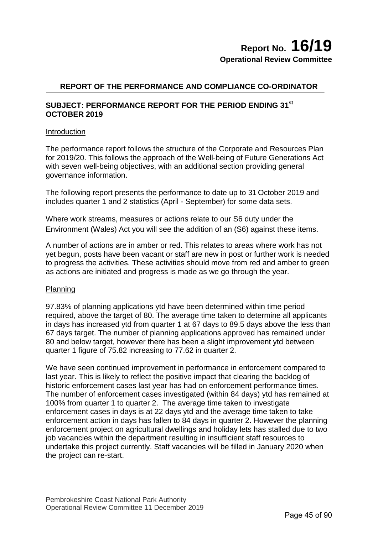## **REPORT OF THE PERFORMANCE AND COMPLIANCE CO-ORDINATOR**

### **SUBJECT: PERFORMANCE REPORT FOR THE PERIOD ENDING 31st OCTOBER 2019**

#### **Introduction**

The performance report follows the structure of the Corporate and Resources Plan for 2019/20. This follows the approach of the Well-being of Future Generations Act with seven well-being objectives, with an additional section providing general governance information.

The following report presents the performance to date up to 31 October 2019 and includes quarter 1 and 2 statistics (April - September) for some data sets.

Where work streams, measures or actions relate to our S6 duty under the Environment (Wales) Act you will see the addition of an (S6) against these items.

A number of actions are in amber or red. This relates to areas where work has not yet begun, posts have been vacant or staff are new in post or further work is needed to progress the activities. These activities should move from red and amber to green as actions are initiated and progress is made as we go through the year.

#### Planning

97.83% of planning applications ytd have been determined within time period required, above the target of 80. The average time taken to determine all applicants in days has increased ytd from quarter 1 at 67 days to 89.5 days above the less than 67 days target. The number of planning applications approved has remained under 80 and below target, however there has been a slight improvement ytd between quarter 1 figure of 75.82 increasing to 77.62 in quarter 2.

We have seen continued improvement in performance in enforcement compared to last year. This is likely to reflect the positive impact that clearing the backlog of historic enforcement cases last year has had on enforcement performance times. The number of enforcement cases investigated (within 84 days) ytd has remained at 100% from quarter 1 to quarter 2. The average time taken to investigate enforcement cases in days is at 22 days ytd and the average time taken to take enforcement action in days has fallen to 84 days in quarter 2. However the planning enforcement project on agricultural dwellings and holiday lets has stalled due to two job vacancies within the department resulting in insufficient staff resources to undertake this project currently. Staff vacancies will be filled in January 2020 when the project can re-start.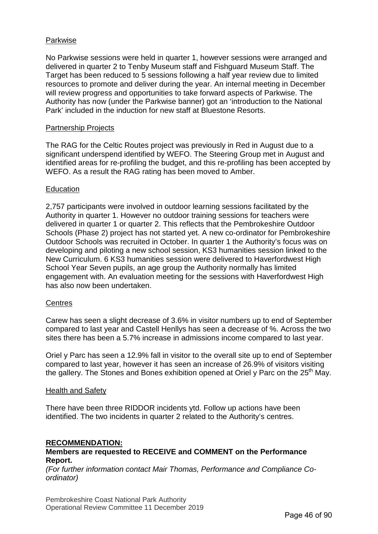#### Parkwise

No Parkwise sessions were held in quarter 1, however sessions were arranged and delivered in quarter 2 to Tenby Museum staff and Fishguard Museum Staff. The Target has been reduced to 5 sessions following a half year review due to limited resources to promote and deliver during the year. An internal meeting in December will review progress and opportunities to take forward aspects of Parkwise. The Authority has now (under the Parkwise banner) got an 'introduction to the National Park' included in the induction for new staff at Bluestone Resorts.

#### Partnership Projects

The RAG for the Celtic Routes project was previously in Red in August due to a significant underspend identified by WEFO. The Steering Group met in August and identified areas for re-profiling the budget, and this re-profiling has been accepted by WEFO. As a result the RAG rating has been moved to Amber.

#### **Education**

2,757 participants were involved in outdoor learning sessions facilitated by the Authority in quarter 1. However no outdoor training sessions for teachers were delivered in quarter 1 or quarter 2. This reflects that the Pembrokeshire Outdoor Schools (Phase 2) project has not started yet. A new co-ordinator for Pembrokeshire Outdoor Schools was recruited in October. In quarter 1 the Authority's focus was on developing and piloting a new school session, KS3 humanities session linked to the New Curriculum. 6 KS3 humanities session were delivered to Haverfordwest High School Year Seven pupils, an age group the Authority normally has limited engagement with. An evaluation meeting for the sessions with Haverfordwest High has also now been undertaken.

#### **Centres**

Carew has seen a slight decrease of 3.6% in visitor numbers up to end of September compared to last year and Castell Henllys has seen a decrease of %. Across the two sites there has been a 5.7% increase in admissions income compared to last year.

Oriel y Parc has seen a 12.9% fall in visitor to the overall site up to end of September compared to last year, however it has seen an increase of 26.9% of visitors visiting the gallery. The Stones and Bones exhibition opened at Oriel y Parc on the  $25<sup>th</sup>$  May.

#### Health and Safety

There have been three RIDDOR incidents ytd. Follow up actions have been identified. The two incidents in quarter 2 related to the Authority's centres.

#### **RECOMMENDATION:**

#### **Members are requested to RECEIVE and COMMENT on the Performance Report.**

*(For further information contact Mair Thomas, Performance and Compliance Coordinator)*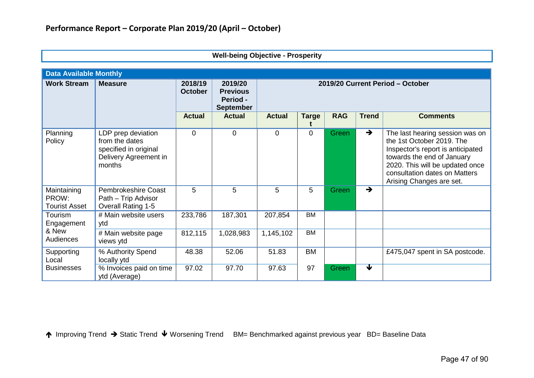| <b>Data Available Monthly</b>                |                                                                                                  |                           |                                  |               |              |            |               |                                                                                                                                                                                                                                 |
|----------------------------------------------|--------------------------------------------------------------------------------------------------|---------------------------|----------------------------------|---------------|--------------|------------|---------------|---------------------------------------------------------------------------------------------------------------------------------------------------------------------------------------------------------------------------------|
| <b>Work Stream</b>                           | <b>Measure</b>                                                                                   | 2018/19<br><b>October</b> | 2019/20 Current Period - October |               |              |            |               |                                                                                                                                                                                                                                 |
|                                              |                                                                                                  | <b>Actual</b>             | <b>Actual</b>                    | <b>Actual</b> | <b>Targe</b> | <b>RAG</b> | <b>Trend</b>  | <b>Comments</b>                                                                                                                                                                                                                 |
| Planning<br>Policy                           | LDP prep deviation<br>from the dates<br>specified in original<br>Delivery Agreement in<br>months | $\mathbf 0$               | $\Omega$                         | 0             | $\Omega$     | Green      | $\rightarrow$ | The last hearing session was on<br>the 1st October 2019. The<br>Inspector's report is anticipated<br>towards the end of January<br>2020. This will be updated once<br>consultation dates on Matters<br>Arising Changes are set. |
| Maintaining<br>PROW:<br><b>Tourist Asset</b> | <b>Pembrokeshire Coast</b><br>Path - Trip Advisor<br><b>Overall Rating 1-5</b>                   | 5                         | 5                                | 5             | 5            | Green      | $\rightarrow$ |                                                                                                                                                                                                                                 |
| Tourism<br>Engagement                        | # Main website users<br>ytd                                                                      | 233,786                   | 187,301                          | 207,854       | <b>BM</b>    |            |               |                                                                                                                                                                                                                                 |
| & New<br>Audiences                           | # Main website page<br>views ytd                                                                 | 812,115                   | 1,028,983                        | 1,145,102     | <b>BM</b>    |            |               |                                                                                                                                                                                                                                 |
| Supporting<br>Local                          | % Authority Spend<br>locally ytd                                                                 | 48.38                     | 52.06                            | 51.83         | <b>BM</b>    |            |               | £475,047 spent in SA postcode.                                                                                                                                                                                                  |
| <b>Businesses</b>                            | % Invoices paid on time<br>ytd (Average)                                                         | 97.02                     | 97.70                            | 97.63         | 97           | Green      | ₩             |                                                                                                                                                                                                                                 |

**Well-being Objective - Prosperity**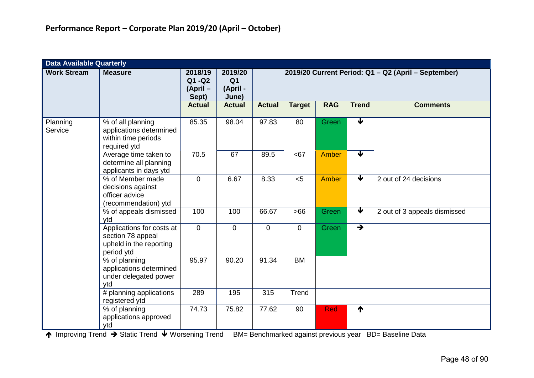| <b>Data Available Quarterly</b> |                                                                                         |                                          |                                                |                                                     |               |              |                      |                              |  |  |  |
|---------------------------------|-----------------------------------------------------------------------------------------|------------------------------------------|------------------------------------------------|-----------------------------------------------------|---------------|--------------|----------------------|------------------------------|--|--|--|
| <b>Work Stream</b>              | <b>Measure</b>                                                                          | 2018/19<br>$Q1 - Q2$<br>(April-<br>Sept) | 2019/20<br>Q <sub>1</sub><br>(April -<br>June) | 2019/20 Current Period: Q1 - Q2 (April - September) |               |              |                      |                              |  |  |  |
|                                 |                                                                                         | <b>Actual</b>                            | <b>Actual</b>                                  | <b>Actual</b>                                       | <b>Target</b> | <b>RAG</b>   | <b>Trend</b>         | <b>Comments</b>              |  |  |  |
| Planning<br>Service             | % of all planning<br>applications determined<br>within time periods<br>required ytd     | 85.35                                    | 98.04                                          | 97.83                                               | 80            | Green        | ┳                    |                              |  |  |  |
|                                 | Average time taken to<br>determine all planning<br>applicants in days ytd               | 70.5                                     | 67                                             | 89.5                                                | <67           | <b>Amber</b> | $\blacktriangledown$ |                              |  |  |  |
|                                 | % of Member made<br>decisions against<br>officer advice<br>(recommendation) ytd         | 0                                        | 6.67                                           | 8.33                                                | < 5           | <b>Amber</b> | $\blacktriangledown$ | 2 out of 24 decisions        |  |  |  |
|                                 | % of appeals dismissed<br>ytd                                                           | 100                                      | 100                                            | 66.67                                               | $>66$         | Green        | $\blacktriangledown$ | 2 out of 3 appeals dismissed |  |  |  |
|                                 | Applications for costs at<br>section 78 appeal<br>upheld in the reporting<br>period ytd | $\mathbf 0$                              | $\mathbf 0$                                    | $\mathbf 0$                                         | $\mathbf 0$   | <b>Green</b> | $\rightarrow$        |                              |  |  |  |
|                                 | % of planning<br>applications determined<br>under delegated power<br>ytd                | 95.97                                    | 90.20                                          | 91.34                                               | <b>BM</b>     |              |                      |                              |  |  |  |
|                                 | # planning applications<br>registered ytd                                               | 289                                      | 195                                            | 315                                                 | Trend         |              |                      |                              |  |  |  |
|                                 | % of planning<br>applications approved<br>ytd                                           | 74.73                                    | 75.82                                          | 77.62                                               | 90            | <b>Red</b>   | ↑                    |                              |  |  |  |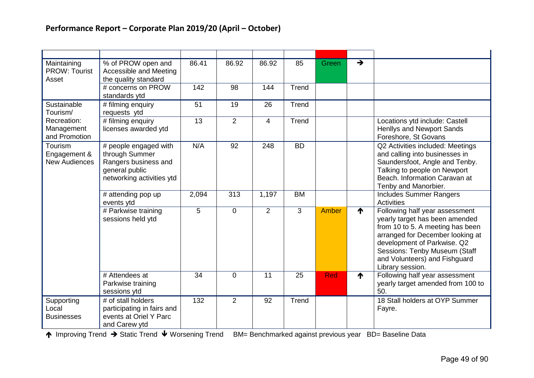| Maintaining<br><b>PROW: Tourist</b><br>Asset    | % of PROW open and<br>Accessible and Meeting<br>the quality standard                                           | 86.41 | 86.92          | 86.92          | 85        | Green      | $\rightarrow$ |                                                                                                                                                                                                                                                               |
|-------------------------------------------------|----------------------------------------------------------------------------------------------------------------|-------|----------------|----------------|-----------|------------|---------------|---------------------------------------------------------------------------------------------------------------------------------------------------------------------------------------------------------------------------------------------------------------|
|                                                 | # concerns on PROW<br>standards ytd                                                                            | 142   | 98             | 144            | Trend     |            |               |                                                                                                                                                                                                                                                               |
| Sustainable<br>Tourism/                         | # filming enquiry<br>requests ytd                                                                              | 51    | 19             | 26             | Trend     |            |               |                                                                                                                                                                                                                                                               |
| Recreation:<br>Management<br>and Promotion      | # filming enquiry<br>licenses awarded ytd                                                                      | 13    | $\overline{2}$ | $\overline{4}$ | Trend     |            |               | Locations ytd include: Castell<br><b>Henllys and Newport Sands</b><br>Foreshore, St Govans                                                                                                                                                                    |
| Tourism<br>Engagement &<br><b>New Audiences</b> | # people engaged with<br>through Summer<br>Rangers business and<br>general public<br>networking activities ytd | N/A   | 92             | 248            | <b>BD</b> |            |               | Q2 Activities included: Meetings<br>and calling into businesses in<br>Saundersfoot, Angle and Tenby.<br>Talking to people on Newport<br>Beach, Information Caravan at<br>Tenby and Manorbier.                                                                 |
|                                                 | # attending pop up<br>events ytd                                                                               | 2,094 | 313            | 1,197          | <b>BM</b> |            |               | <b>Includes Summer Rangers</b><br><b>Activities</b>                                                                                                                                                                                                           |
|                                                 | # Parkwise training<br>sessions held ytd                                                                       | 5     | $\Omega$       | 2              | 3         | Amber      | ₼             | Following half year assessment<br>yearly target has been amended<br>from 10 to 5. A meeting has been<br>arranged for December looking at<br>development of Parkwise. Q2<br>Sessions: Tenby Museum (Staff<br>and Volunteers) and Fishguard<br>Library session. |
|                                                 | # Attendees at<br>Parkwise training<br>sessions ytd                                                            | 34    | $\Omega$       | 11             | 25        | <b>Red</b> | ↑             | Following half year assessment<br>yearly target amended from 100 to<br>50.                                                                                                                                                                                    |
| Supporting<br>Local<br><b>Businesses</b>        | # of stall holders<br>participating in fairs and<br>events at Oriel Y Parc<br>and Carew ytd                    | 132   | 2              | 92             | Trend     |            |               | 18 Stall holders at OYP Summer<br>Fayre.                                                                                                                                                                                                                      |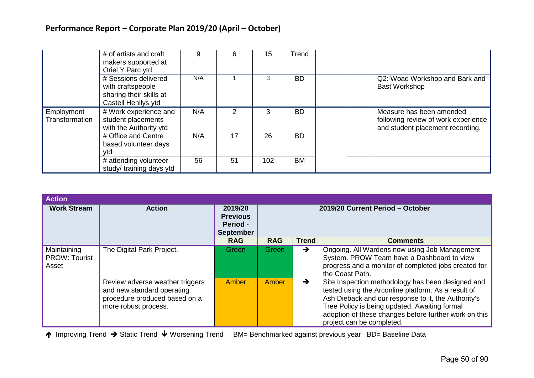|                              | # of artists and craft<br>makers supported at<br>Oriel Y Parc ytd                           | 9   | 6             | 15  | Trend     |                                                                                                     |
|------------------------------|---------------------------------------------------------------------------------------------|-----|---------------|-----|-----------|-----------------------------------------------------------------------------------------------------|
|                              | # Sessions delivered<br>with craftspeople<br>sharing their skills at<br>Castell Henllys ytd | N/A |               | 3   | <b>BD</b> | Q2: Woad Workshop and Bark and<br><b>Bast Workshop</b>                                              |
| Employment<br>Transformation | # Work experience and<br>student placements<br>with the Authority ytd                       | N/A | $\mathcal{P}$ | 3   | <b>BD</b> | Measure has been amended<br>following review of work experience<br>and student placement recording. |
|                              | # Office and Centre<br>based volunteer days<br>vtd                                          | N/A | 17            | 26  | <b>BD</b> |                                                                                                     |
|                              | # attending volunteer<br>study/ training days ytd                                           | 56  | 51            | 102 | <b>BM</b> |                                                                                                     |

| <b>Action</b>                                |                                                                                                                        |                                                                   |                                  |               |                                                                                                                                                                                                                                                                                                        |  |  |
|----------------------------------------------|------------------------------------------------------------------------------------------------------------------------|-------------------------------------------------------------------|----------------------------------|---------------|--------------------------------------------------------------------------------------------------------------------------------------------------------------------------------------------------------------------------------------------------------------------------------------------------------|--|--|
| <b>Work Stream</b>                           | <b>Action</b>                                                                                                          | 2019/20<br><b>Previous</b><br><b>Period -</b><br><b>September</b> | 2019/20 Current Period - October |               |                                                                                                                                                                                                                                                                                                        |  |  |
|                                              |                                                                                                                        | <b>RAG</b>                                                        | <b>RAG</b>                       | <b>Trend</b>  | <b>Comments</b>                                                                                                                                                                                                                                                                                        |  |  |
| Maintaining<br><b>PROW: Tourist</b><br>Asset | The Digital Park Project.                                                                                              | Green                                                             | Green                            | $\rightarrow$ | Ongoing. All Wardens now using Job Management<br>System. PROW Team have a Dashboard to view<br>progress and a monitor of completed jobs created for<br>the Coast Path.                                                                                                                                 |  |  |
|                                              | Review adverse weather triggers<br>and new standard operating<br>procedure produced based on a<br>more robust process. | Amber                                                             | Amber                            | $\rightarrow$ | Site Inspection methodology has been designed and<br>tested using the Arconline platform. As a result of<br>Ash Dieback and our response to it, the Authority's<br>Tree Policy is being updated. Awaiting formal<br>adoption of these changes before further work on this<br>project can be completed. |  |  |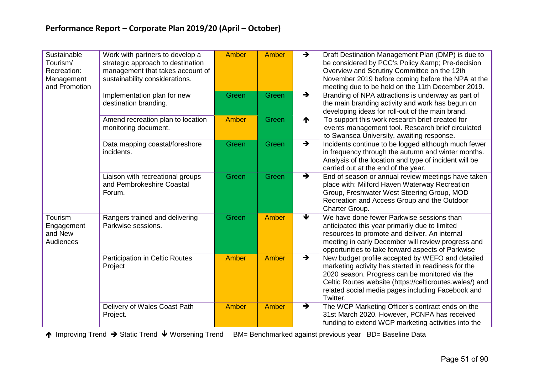| Sustainable<br>Tourism/<br>Recreation:<br>Management<br>and Promotion | Work with partners to develop a<br>strategic approach to destination<br>management that takes account of<br>sustainability considerations. | <b>Amber</b> | Amber        | $\rightarrow$              | Draft Destination Management Plan (DMP) is due to<br>be considered by PCC's Policy & Pre-decision<br>Overview and Scrutiny Committee on the 12th<br>November 2019 before coming before the NPA at the<br>meeting due to be held on the 11th December 2019.                            |
|-----------------------------------------------------------------------|--------------------------------------------------------------------------------------------------------------------------------------------|--------------|--------------|----------------------------|---------------------------------------------------------------------------------------------------------------------------------------------------------------------------------------------------------------------------------------------------------------------------------------|
|                                                                       | Implementation plan for new<br>destination branding.                                                                                       | Green        | Green        | $\rightarrow$              | Branding of NPA attractions is underway as part of<br>the main branding activity and work has begun on<br>developing ideas for roll-out of the main brand.                                                                                                                            |
|                                                                       | Amend recreation plan to location<br>monitoring document.                                                                                  | <b>Amber</b> | Green        | ↑                          | To support this work research brief created for<br>events management tool. Research brief circulated<br>to Swansea University, awaiting response.                                                                                                                                     |
|                                                                       | Data mapping coastal/foreshore<br>incidents.                                                                                               | Green        | Green        | $\rightarrow$              | Incidents continue to be logged although much fewer<br>in frequency through the autumn and winter months.<br>Analysis of the location and type of incident will be<br>carried out at the end of the year.                                                                             |
|                                                                       | Liaison with recreational groups<br>and Pembrokeshire Coastal<br>Forum.                                                                    | Green        | Green        | $\rightarrow$              | End of season or annual review meetings have taken<br>place with: Milford Haven Waterway Recreation<br>Group, Freshwater West Steering Group, MOD<br>Recreation and Access Group and the Outdoor<br>Charter Group.                                                                    |
| Tourism<br>Engagement<br>and New<br>Audiences                         | Rangers trained and delivering<br>Parkwise sessions.                                                                                       | Green        | <b>Amber</b> | $\overline{\blacklozenge}$ | We have done fewer Parkwise sessions than<br>anticipated this year primarily due to limited<br>resources to promote and deliver. An internal<br>meeting in early December will review progress and<br>opportunities to take forward aspects of Parkwise                               |
|                                                                       | <b>Participation in Celtic Routes</b><br>Project                                                                                           | <b>Amber</b> | <b>Amber</b> | $\rightarrow$              | New budget profile accepted by WEFO and detailed<br>marketing activity has started in readiness for the<br>2020 season. Progress can be monitored via the<br>Celtic Routes website (https://celticroutes.wales/) and<br>related social media pages including Facebook and<br>Twitter. |
|                                                                       | Delivery of Wales Coast Path<br>Project.                                                                                                   | Amber        | Amber        | $\rightarrow$              | The WCP Marketing Officer's contract ends on the<br>31st March 2020. However, PCNPA has received<br>funding to extend WCP marketing activities into the                                                                                                                               |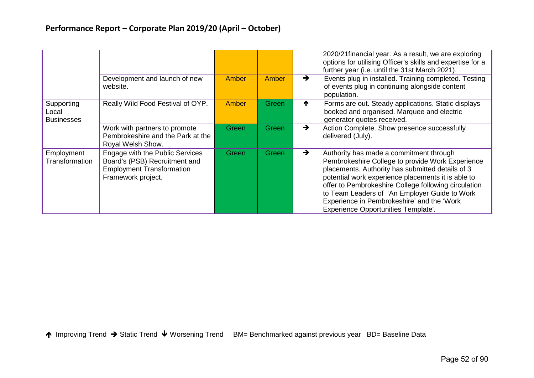|                                          | Development and launch of new<br>website.                                                                                  | Amber | Amber | $\rightarrow$ | 2020/21 financial year. As a result, we are exploring<br>options for utilising Officer's skills and expertise for a<br>further year (i.e. until the 31st March 2021).<br>Events plug in installed. Training completed. Testing<br>of events plug in continuing alongside content<br>population.                                                                                                            |
|------------------------------------------|----------------------------------------------------------------------------------------------------------------------------|-------|-------|---------------|------------------------------------------------------------------------------------------------------------------------------------------------------------------------------------------------------------------------------------------------------------------------------------------------------------------------------------------------------------------------------------------------------------|
| Supporting<br>Local<br><b>Businesses</b> | Really Wild Food Festival of OYP.                                                                                          | Amber | Green | ᠰ             | Forms are out. Steady applications. Static displays<br>booked and organised. Marquee and electric<br>generator quotes received.                                                                                                                                                                                                                                                                            |
|                                          | Work with partners to promote<br>Pembrokeshire and the Park at the<br>Royal Welsh Show.                                    | Green | Green | →             | Action Complete. Show presence successfully<br>delivered (July).                                                                                                                                                                                                                                                                                                                                           |
| Employment<br>Transformation             | Engage with the Public Services<br>Board's (PSB) Recruitment and<br><b>Employment Transformation</b><br>Framework project. | Green | Green | $\rightarrow$ | Authority has made a commitment through<br>Pembrokeshire College to provide Work Experience<br>placements. Authority has submitted details of 3<br>potential work experience placements it is able to<br>offer to Pembrokeshire College following circulation<br>to Team Leaders of 'An Employer Guide to Work<br>Experience in Pembrokeshire' and the 'Work<br><b>Experience Opportunities Template'.</b> |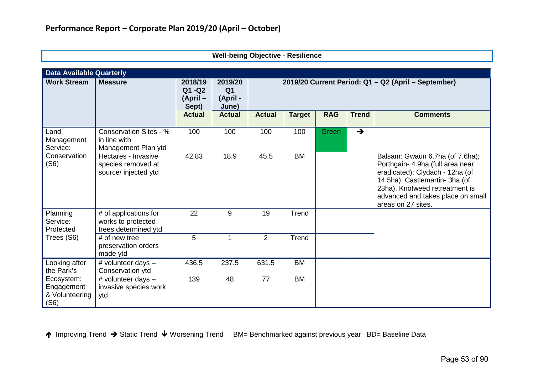| <b>Data Available Quarterly</b>                    |                                                                      |                                           |                                                |                |                                                     |            |               |                                                                                                                                                                                                                                       |
|----------------------------------------------------|----------------------------------------------------------------------|-------------------------------------------|------------------------------------------------|----------------|-----------------------------------------------------|------------|---------------|---------------------------------------------------------------------------------------------------------------------------------------------------------------------------------------------------------------------------------------|
| <b>Work Stream</b>                                 | <b>Measure</b>                                                       | 2018/19<br>$Q1 - Q2$<br>(April -<br>Sept) | 2019/20<br>Q <sub>1</sub><br>(April -<br>June) |                | 2019/20 Current Period: Q1 - Q2 (April - September) |            |               |                                                                                                                                                                                                                                       |
|                                                    |                                                                      | <b>Actual</b>                             | <b>Actual</b>                                  | <b>Actual</b>  | <b>Target</b>                                       | <b>RAG</b> | <b>Trend</b>  | <b>Comments</b>                                                                                                                                                                                                                       |
| Land<br>Management<br>Service:                     | <b>Conservation Sites - %</b><br>in line with<br>Management Plan ytd | 100                                       | 100                                            | 100            | 100                                                 | Green      | $\rightarrow$ |                                                                                                                                                                                                                                       |
| Conservation<br>(S6)                               | Hectares - Invasive<br>species removed at<br>source/ injected ytd    | 42.83                                     | 18.9                                           | 45.5           | <b>BM</b>                                           |            |               | Balsam: Gwaun 6.7ha (of 7.6ha);<br>Porthgain- 4.9ha (full area near<br>eradicated); Clydach - 12ha (of<br>14.5ha); Castlemartin- 3ha (of<br>23ha). Knotweed retreatment is<br>advanced and takes place on small<br>areas on 27 sites. |
| Planning<br>Service:<br>Protected                  | # of applications for<br>works to protected<br>trees determined ytd  | 22                                        | 9                                              | 19             | Trend                                               |            |               |                                                                                                                                                                                                                                       |
| Trees (S6)                                         | # of new tree<br>preservation orders<br>made ytd                     | 5                                         | 1                                              | $\overline{2}$ | Trend                                               |            |               |                                                                                                                                                                                                                                       |
| Looking after<br>the Park's                        | # volunteer days -<br>Conservation ytd                               | 436.5                                     | 237.5                                          | 631.5          | <b>BM</b>                                           |            |               |                                                                                                                                                                                                                                       |
| Ecosystem:<br>Engagement<br>& Volunteering<br>(S6) | # volunteer days -<br>invasive species work<br>ytd                   | 139                                       | 48                                             | 77             | <b>BM</b>                                           |            |               |                                                                                                                                                                                                                                       |

**Well-being Objective - Resilience**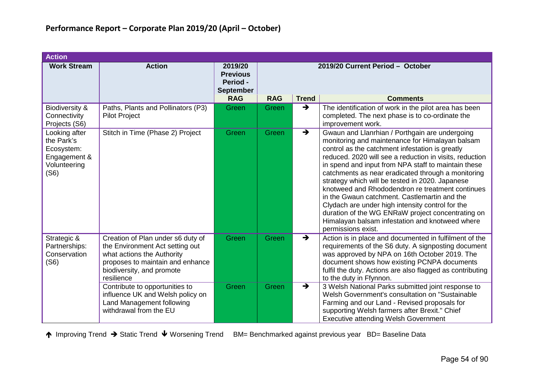| <b>Action</b>                                                                     |                                                                                                                                                                                                                                                                                                                |                                                            |                                  |                                |                                                                                                                                                                                                                                                                                                                                                                                                                                                                                                                                                                                                                                                                       |  |  |  |  |  |
|-----------------------------------------------------------------------------------|----------------------------------------------------------------------------------------------------------------------------------------------------------------------------------------------------------------------------------------------------------------------------------------------------------------|------------------------------------------------------------|----------------------------------|--------------------------------|-----------------------------------------------------------------------------------------------------------------------------------------------------------------------------------------------------------------------------------------------------------------------------------------------------------------------------------------------------------------------------------------------------------------------------------------------------------------------------------------------------------------------------------------------------------------------------------------------------------------------------------------------------------------------|--|--|--|--|--|
| <b>Work Stream</b>                                                                | <b>Action</b>                                                                                                                                                                                                                                                                                                  | 2019/20<br><b>Previous</b><br>Period -<br><b>September</b> | 2019/20 Current Period - October |                                |                                                                                                                                                                                                                                                                                                                                                                                                                                                                                                                                                                                                                                                                       |  |  |  |  |  |
|                                                                                   |                                                                                                                                                                                                                                                                                                                | <b>RAG</b>                                                 | <b>RAG</b>                       | <b>Trend</b>                   | <b>Comments</b>                                                                                                                                                                                                                                                                                                                                                                                                                                                                                                                                                                                                                                                       |  |  |  |  |  |
| Biodiversity &<br>Connectivity<br>Projects (S6)                                   | Paths, Plants and Pollinators (P3)<br><b>Pilot Project</b>                                                                                                                                                                                                                                                     | Green                                                      | Green                            | $\rightarrow$                  | The identification of work in the pilot area has been<br>completed. The next phase is to co-ordinate the<br>improvement work.                                                                                                                                                                                                                                                                                                                                                                                                                                                                                                                                         |  |  |  |  |  |
| Looking after<br>the Park's<br>Ecosystem:<br>Engagement &<br>Volunteering<br>(S6) | Stitch in Time (Phase 2) Project                                                                                                                                                                                                                                                                               | Green                                                      | Green                            | $\rightarrow$                  | Gwaun and Llanrhian / Porthgain are undergoing<br>monitoring and maintenance for Himalayan balsam<br>control as the catchment infestation is greatly<br>reduced. 2020 will see a reduction in visits, reduction<br>in spend and input from NPA staff to maintain these<br>catchments as near eradicated through a monitoring<br>strategy which will be tested in 2020. Japanese<br>knotweed and Rhododendron re treatment continues<br>in the Gwaun catchment. Castlemartin and the<br>Clydach are under high intensity control for the<br>duration of the WG ENRaW project concentrating on<br>Himalayan balsam infestation and knotweed where<br>permissions exist. |  |  |  |  |  |
| Strategic &<br>Partnerships:<br>Conservation<br>(S6)                              | Creation of Plan under s6 duty of<br>the Environment Act setting out<br>what actions the Authority<br>proposes to maintain and enhance<br>biodiversity, and promote<br>resilience<br>Contribute to opportunities to<br>influence UK and Welsh policy on<br>Land Management following<br>withdrawal from the EU | Green<br>Green                                             | Green<br>Green                   | $\rightarrow$<br>$\rightarrow$ | Action is in place and documented in fulfilment of the<br>requirements of the S6 duty. A signposting document<br>was approved by NPA on 16th October 2019. The<br>document shows how existing PCNPA documents<br>fulfil the duty. Actions are also flagged as contributing<br>to the duty in Ffynnon.<br>3 Welsh National Parks submitted joint response to<br>Welsh Government's consultation on "Sustainable"<br>Farming and our Land - Revised proposals for<br>supporting Welsh farmers after Brexit." Chief<br><b>Executive attending Welsh Government</b>                                                                                                       |  |  |  |  |  |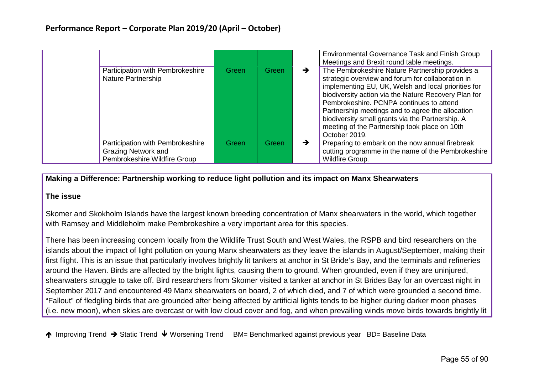|                                                                                                |       |       |               | Environmental Governance Task and Finish Group<br>Meetings and Brexit round table meetings.                                                                                                                                                                                                                                                                                                                                               |
|------------------------------------------------------------------------------------------------|-------|-------|---------------|-------------------------------------------------------------------------------------------------------------------------------------------------------------------------------------------------------------------------------------------------------------------------------------------------------------------------------------------------------------------------------------------------------------------------------------------|
| Participation with Pembrokeshire<br>Nature Partnership                                         | Green | Green | $\rightarrow$ | The Pembrokeshire Nature Partnership provides a<br>strategic overview and forum for collaboration in<br>implementing EU, UK, Welsh and local priorities for<br>biodiversity action via the Nature Recovery Plan for<br>Pembrokeshire, PCNPA continues to attend<br>Partnership meetings and to agree the allocation<br>biodiversity small grants via the Partnership. A<br>meeting of the Partnership took place on 10th<br>October 2019. |
| Participation with Pembrokeshire<br><b>Grazing Network and</b><br>Pembrokeshire Wildfire Group | Green | Green | $\rightarrow$ | Preparing to embark on the now annual firebreak<br>cutting programme in the name of the Pembrokeshire<br>Wildfire Group.                                                                                                                                                                                                                                                                                                                  |

#### **Making a Difference: Partnership working to reduce light pollution and its impact on Manx Shearwaters**

#### **The issue**

Skomer and Skokholm Islands have the largest known breeding concentration of Manx shearwaters in the world, which together with Ramsey and Middleholm make Pembrokeshire a very important area for this species.

There has been increasing concern locally from the Wildlife Trust South and West Wales, the RSPB and bird researchers on the islands about the impact of light pollution on young Manx shearwaters as they leave the islands in August/September, making their first flight. This is an issue that particularly involves brightly lit tankers at anchor in St Bride's Bay, and the terminals and refineries around the Haven. Birds are affected by the bright lights, causing them to ground. When grounded, even if they are uninjured, shearwaters struggle to take off. Bird researchers from Skomer visited a tanker at anchor in St Brides Bay for an overcast night in September 2017 and encountered 49 Manx shearwaters on board, 2 of which died, and 7 of which were grounded a second time. "Fallout" of fledgling birds that are grounded after being affected by artificial lights tends to be higher during darker moon phases (i.e. new moon), when skies are overcast or with low cloud cover and fog, and when prevailing winds move birds towards brightly lit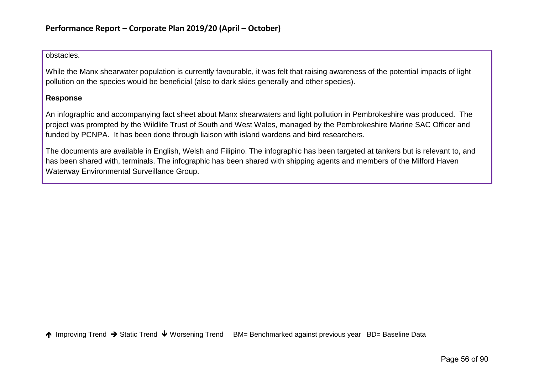obstacles.

While the Manx shearwater population is currently favourable, it was felt that raising awareness of the potential impacts of light pollution on the species would be beneficial (also to dark skies generally and other species).

## **Response**

An infographic and accompanying fact sheet about Manx shearwaters and light pollution in Pembrokeshire was produced. The project was prompted by the Wildlife Trust of South and West Wales, managed by the Pembrokeshire Marine SAC Officer and funded by PCNPA. It has been done through liaison with island wardens and bird researchers.

The documents are available in English, Welsh and Filipino. The infographic has been targeted at tankers but is relevant to, and has been shared with, terminals. The infographic has been shared with shipping agents and members of the Milford Haven Waterway Environmental Surveillance Group.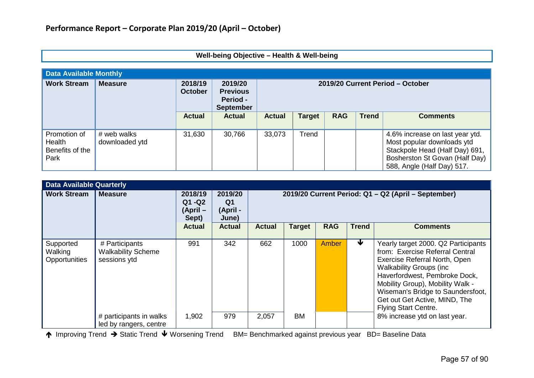|                                                                                                                                                                            | Well-being Objective - Health & Well-being |               |               |               |               |            |              |                                                                                                                                                                 |  |  |  |
|----------------------------------------------------------------------------------------------------------------------------------------------------------------------------|--------------------------------------------|---------------|---------------|---------------|---------------|------------|--------------|-----------------------------------------------------------------------------------------------------------------------------------------------------------------|--|--|--|
| <b>Data Available Monthly</b>                                                                                                                                              |                                            |               |               |               |               |            |              |                                                                                                                                                                 |  |  |  |
| <b>Work Stream</b><br>2018/19<br><b>Measure</b><br>2019/20<br>2019/20 Current Period - October<br><b>October</b><br><b>Previous</b><br><b>Period -</b><br><b>September</b> |                                            |               |               |               |               |            |              |                                                                                                                                                                 |  |  |  |
|                                                                                                                                                                            |                                            | <b>Actual</b> | <b>Actual</b> | <b>Actual</b> | <b>Target</b> | <b>RAG</b> | <b>Trend</b> | <b>Comments</b>                                                                                                                                                 |  |  |  |
| Promotion of<br>Health<br>Benefits of the<br>Park                                                                                                                          | # web walks<br>downloaded ytd              | 31,630        | 30,766        | 33,073        | Trend         |            |              | 4.6% increase on last year ytd.<br>Most popular downloads ytd<br>Stackpole Head (Half Day) 691,<br>Bosherston St Govan (Half Day)<br>588, Angle (Half Day) 517. |  |  |  |

| <b>Data Available Quarterly</b>       |                                                             |                                           |                                    |                                                     |               |            |              |                                                                                                                                                                                                                                                                                                                     |  |  |  |
|---------------------------------------|-------------------------------------------------------------|-------------------------------------------|------------------------------------|-----------------------------------------------------|---------------|------------|--------------|---------------------------------------------------------------------------------------------------------------------------------------------------------------------------------------------------------------------------------------------------------------------------------------------------------------------|--|--|--|
| <b>Work Stream</b>                    | <b>Measure</b>                                              | 2018/19<br>$Q1 - Q2$<br>(April –<br>Sept) | 2019/20<br>Q1<br>(April -<br>June) | 2019/20 Current Period: Q1 - Q2 (April - September) |               |            |              |                                                                                                                                                                                                                                                                                                                     |  |  |  |
|                                       |                                                             | <b>Actual</b>                             | <b>Actual</b>                      | <b>Actual</b>                                       | <b>Target</b> | <b>RAG</b> | <b>Trend</b> | <b>Comments</b>                                                                                                                                                                                                                                                                                                     |  |  |  |
| Supported<br>Walking<br>Opportunities | # Participants<br><b>Walkability Scheme</b><br>sessions ytd | 991                                       | 342                                | 662                                                 | 1000          | Amber      | ₩            | Yearly target 2000. Q2 Participants<br>from: Exercise Referral Central<br>Exercise Referral North, Open<br><b>Walkability Groups (inc</b><br>Haverfordwest, Pembroke Dock,<br>Mobility Group), Mobility Walk -<br>Wiseman's Bridge to Saundersfoot,<br>Get out Get Active, MIND, The<br><b>Flying Start Centre.</b> |  |  |  |
|                                       | # participants in walks<br>led by rangers, centre           | 1,902                                     | 979                                | 2,057                                               | <b>BM</b>     |            |              | 8% increase ytd on last year.                                                                                                                                                                                                                                                                                       |  |  |  |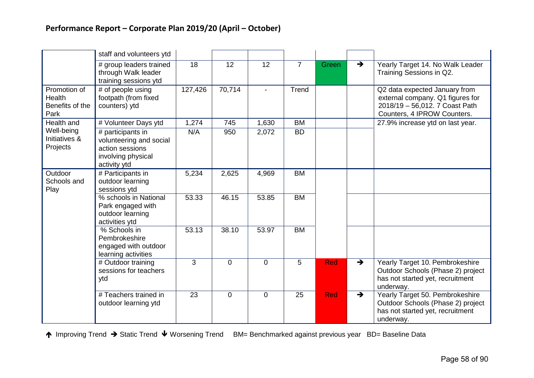|                                                          | staff and volunteers ytd                                                                              |         |                |             |                |            |               |                                                                                                                                    |
|----------------------------------------------------------|-------------------------------------------------------------------------------------------------------|---------|----------------|-------------|----------------|------------|---------------|------------------------------------------------------------------------------------------------------------------------------------|
|                                                          | # group leaders trained<br>through Walk leader<br>training sessions ytd                               | 18      | 12             | 12          | $\overline{7}$ | Green      | $\rightarrow$ | Yearly Target 14. No Walk Leader<br>Training Sessions in Q2.                                                                       |
| Promotion of<br><b>Health</b><br>Benefits of the<br>Park | # of people using<br>footpath (from fixed<br>counters) ytd                                            | 127,426 | 70,714         |             | Trend          |            |               | Q2 data expected January from<br>external company. Q1 figures for<br>2018/19 - 56,012. 7 Coast Path<br>Counters, 4 IPROW Counters. |
| Health and                                               | # Volunteer Days ytd                                                                                  | 1,274   | 745            | 1,630       | <b>BM</b>      |            |               | 27.9% increase ytd on last year.                                                                                                   |
| Well-being<br>Initiatives &<br>Projects                  | # participants in<br>volunteering and social<br>action sessions<br>involving physical<br>activity ytd | N/A     | 950            | 2,072       | <b>BD</b>      |            |               |                                                                                                                                    |
| Outdoor<br>Schools and<br>Play                           | # Participants in<br>outdoor learning<br>sessions ytd                                                 | 5,234   | 2,625          | 4,969       | <b>BM</b>      |            |               |                                                                                                                                    |
|                                                          | % schools in National<br>Park engaged with<br>outdoor learning<br>activities ytd                      | 53.33   | 46.15          | 53.85       | <b>BM</b>      |            |               |                                                                                                                                    |
|                                                          | % Schools in<br>Pembrokeshire<br>engaged with outdoor<br>learning activities                          | 53.13   | 38.10          | 53.97       | <b>BM</b>      |            |               |                                                                                                                                    |
|                                                          | # Outdoor training<br>sessions for teachers<br>ytd                                                    | 3       | $\overline{0}$ | $\mathbf 0$ | 5              | <b>Red</b> | $\rightarrow$ | Yearly Target 10. Pembrokeshire<br>Outdoor Schools (Phase 2) project<br>has not started yet, recruitment<br>underway.              |
|                                                          | # Teachers trained in<br>outdoor learning ytd                                                         | 23      | $\overline{0}$ | $\mathbf 0$ | 25             | <b>Red</b> | $\rightarrow$ | Yearly Target 50. Pembrokeshire<br>Outdoor Schools (Phase 2) project<br>has not started yet, recruitment<br>underway.              |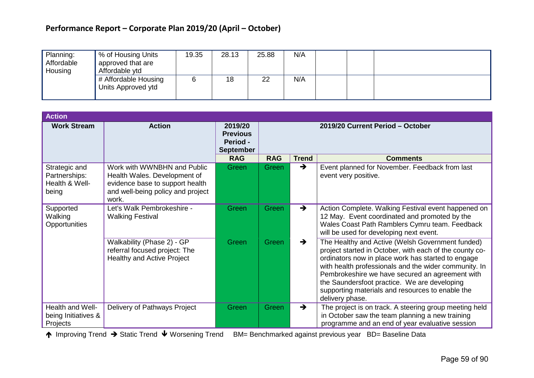# **Performance Report – Corporate Plan 2019/20 (April – October)**

| Planning:<br>Affordable<br>Housing | % of Housing Units<br>approved that are<br>Affordable ytd | 19.35 | 28.13 | 25.88 | N/A |  |  |
|------------------------------------|-----------------------------------------------------------|-------|-------|-------|-----|--|--|
|                                    | # Affordable Housing<br>Units Approved ytd                |       | 18    | 22    | N/A |  |  |

| <b>Action</b>                                             |                                                                                                                                              |                                                            |                                  |               |                                                                                                                                                                                                                                                                                                                                                                                                      |  |
|-----------------------------------------------------------|----------------------------------------------------------------------------------------------------------------------------------------------|------------------------------------------------------------|----------------------------------|---------------|------------------------------------------------------------------------------------------------------------------------------------------------------------------------------------------------------------------------------------------------------------------------------------------------------------------------------------------------------------------------------------------------------|--|
| <b>Work Stream</b>                                        | <b>Action</b>                                                                                                                                | 2019/20<br><b>Previous</b><br>Period -<br><b>September</b> | 2019/20 Current Period - October |               |                                                                                                                                                                                                                                                                                                                                                                                                      |  |
|                                                           |                                                                                                                                              | <b>RAG</b>                                                 | <b>RAG</b>                       | <b>Trend</b>  | <b>Comments</b>                                                                                                                                                                                                                                                                                                                                                                                      |  |
| Strategic and<br>Partnerships:<br>Health & Well-<br>being | Work with WWNBHN and Public<br>Health Wales. Development of<br>evidence base to support health<br>and well-being policy and project<br>work. | Green                                                      | Green                            | $\rightarrow$ | Event planned for November. Feedback from last<br>event very positive.                                                                                                                                                                                                                                                                                                                               |  |
| Supported<br>Walking<br>Opportunities                     | Let's Walk Pembrokeshire -<br><b>Walking Festival</b>                                                                                        | Green                                                      | Green                            | $\rightarrow$ | Action Complete. Walking Festival event happened on<br>12 May. Event coordinated and promoted by the<br>Wales Coast Path Ramblers Cymru team. Feedback<br>will be used for developing next event.                                                                                                                                                                                                    |  |
|                                                           | Walkability (Phase 2) - GP<br>referral focused project: The<br><b>Healthy and Active Project</b>                                             | Green                                                      | Green                            | $\rightarrow$ | The Healthy and Active (Welsh Government funded)<br>project started in October, with each of the county co-<br>ordinators now in place work has started to engage<br>with health professionals and the wider community. In<br>Pembrokeshire we have secured an agreement with<br>the Saundersfoot practice. We are developing<br>supporting materials and resources to enable the<br>delivery phase. |  |
| Health and Well-<br>being Initiatives &<br>Projects       | Delivery of Pathways Project                                                                                                                 | Green                                                      | Green                            | $\rightarrow$ | The project is on track. A steering group meeting held<br>in October saw the team planning a new training<br>programme and an end of year evaluative session                                                                                                                                                                                                                                         |  |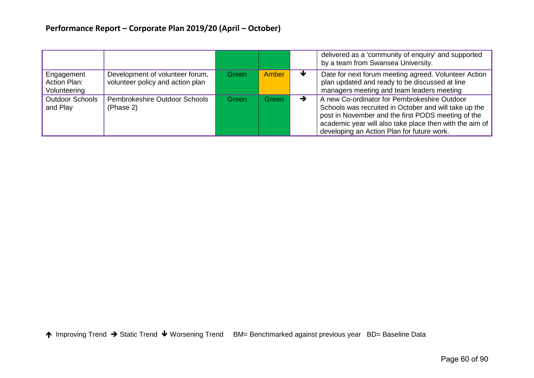|                                            |                                                                     |       |              |   | delivered as a 'community of enquiry' and supported<br>by a team from Swansea University.                                                                                                                                                                            |
|--------------------------------------------|---------------------------------------------------------------------|-------|--------------|---|----------------------------------------------------------------------------------------------------------------------------------------------------------------------------------------------------------------------------------------------------------------------|
| Engagement<br>Action Plan:<br>Volunteering | Development of volunteer forum,<br>volunteer policy and action plan | Green | <b>Amber</b> | ₩ | Date for next forum meeting agreed. Volunteer Action<br>plan updated and ready to be discussed at line<br>managers meeting and team leaders meeting                                                                                                                  |
| <b>Outdoor Schools</b><br>and Play         | Pembrokeshire Outdoor Schools<br>(Phase 2)                          | Green | Green        | → | A new Co-ordinator for Pembrokeshire Outdoor<br>Schools was recruited in October and will take up the<br>post in November and the first PODS meeting of the<br>academic year will also take place then with the aim of<br>developing an Action Plan for future work. |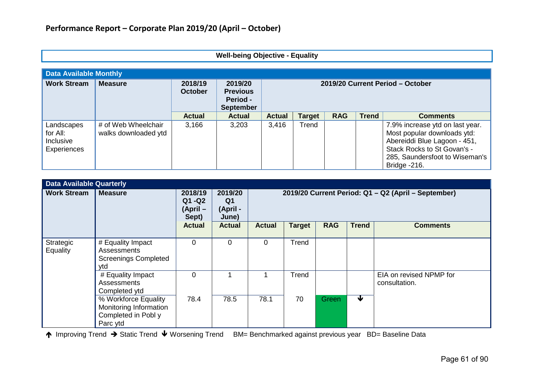|  | <b>Well-being Objective - Equality</b> |  |
|--|----------------------------------------|--|
|--|----------------------------------------|--|

| <b>Data Available Monthly</b>                      |                                             |                           |                                                            |                                  |               |            |              |                                                                                                                                                                                 |  |  |
|----------------------------------------------------|---------------------------------------------|---------------------------|------------------------------------------------------------|----------------------------------|---------------|------------|--------------|---------------------------------------------------------------------------------------------------------------------------------------------------------------------------------|--|--|
| <b>Work Stream</b>                                 | <b>Measure</b>                              | 2018/19<br><b>October</b> | 2019/20<br><b>Previous</b><br>Period -<br><b>September</b> | 2019/20 Current Period - October |               |            |              |                                                                                                                                                                                 |  |  |
|                                                    |                                             | <b>Actual</b>             | <b>Actual</b>                                              | <b>Actual</b>                    | <b>Target</b> | <b>RAG</b> | <b>Trend</b> | <b>Comments</b>                                                                                                                                                                 |  |  |
| Landscapes<br>for All:<br>Inclusive<br>Experiences | # of Web Wheelchair<br>walks downloaded ytd | 3,166                     | 3,203                                                      | 3,416                            | Trend         |            |              | 7.9% increase ytd on last year.<br>Most popular downloads ytd:<br>Abereiddi Blue Lagoon - 451,<br>Stack Rocks to St Govan's -<br>285, Saundersfoot to Wiseman's<br>Bridge -216. |  |  |

| <b>Data Available Quarterly</b> |                                                                                   |                                        |                                                |                                                     |               |            |              |                                          |  |  |
|---------------------------------|-----------------------------------------------------------------------------------|----------------------------------------|------------------------------------------------|-----------------------------------------------------|---------------|------------|--------------|------------------------------------------|--|--|
| <b>Work Stream</b>              | <b>Measure</b>                                                                    | 2018/19<br>Q1 - Q2<br>(April-<br>Sept) | 2019/20<br>Q <sub>1</sub><br>(April -<br>June) | 2019/20 Current Period: Q1 - Q2 (April - September) |               |            |              |                                          |  |  |
|                                 |                                                                                   | <b>Actual</b>                          | <b>Actual</b>                                  | <b>Actual</b>                                       | <b>Target</b> | <b>RAG</b> | <b>Trend</b> | <b>Comments</b>                          |  |  |
| Strategic<br><b>Equality</b>    | # Equality Impact<br><b>Assessments</b><br><b>Screenings Completed</b><br>ytd     | $\Omega$                               | $\mathbf 0$                                    | $\Omega$                                            | Trend         |            |              |                                          |  |  |
|                                 | # Equality Impact<br>Assessments<br>Completed ytd                                 | $\overline{0}$                         |                                                |                                                     | Trend         |            |              | EIA on revised NPMP for<br>consultation. |  |  |
|                                 | % Workforce Equality<br>Monitoring Information<br>Completed in Pobl y<br>Parc ytd | 78.4                                   | 78.5                                           | 78.1                                                | 70            | Green      | ₩            |                                          |  |  |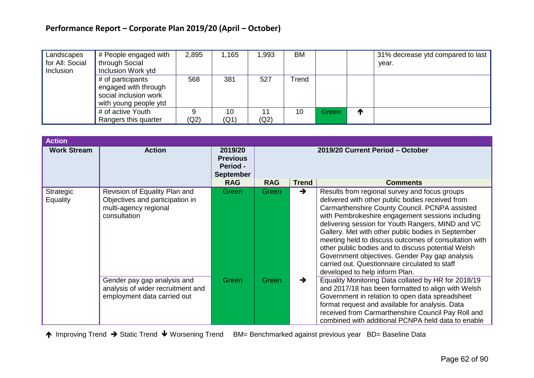# **Performance Report – Corporate Plan 2019/20 (April – October)**

| Landscapes      | # People engaged with       | 2,895 | 1,165 | ,993 | BM    |       |    | 31% decrease ytd compared to last |
|-----------------|-----------------------------|-------|-------|------|-------|-------|----|-----------------------------------|
| for All: Social | <sup>1</sup> through Social |       |       |      |       |       |    | vear.                             |
| Inclusion       | Inclusion Work ytd          |       |       |      |       |       |    |                                   |
|                 | # of participants           | 568   | 381   | 527  | Trend |       |    |                                   |
|                 | engaged with through        |       |       |      |       |       |    |                                   |
|                 | social inclusion work       |       |       |      |       |       |    |                                   |
|                 | with young people ytd       |       |       |      |       |       |    |                                   |
|                 | # of active Youth           |       | 10    | 11   | 10    | Green | ́∩ |                                   |
|                 | Rangers this quarter        | (Q2)  | (Q1)  | (Q2) |       |       |    |                                   |

| <b>Action</b>         |                                                                                                           |                                                            |                                  |               |                                                                                                                                                                                                                                                                                                                                                                                                                                                                                                                                                                         |  |  |  |
|-----------------------|-----------------------------------------------------------------------------------------------------------|------------------------------------------------------------|----------------------------------|---------------|-------------------------------------------------------------------------------------------------------------------------------------------------------------------------------------------------------------------------------------------------------------------------------------------------------------------------------------------------------------------------------------------------------------------------------------------------------------------------------------------------------------------------------------------------------------------------|--|--|--|
| <b>Work Stream</b>    | <b>Action</b>                                                                                             | 2019/20<br><b>Previous</b><br>Period -<br><b>September</b> | 2019/20 Current Period - October |               |                                                                                                                                                                                                                                                                                                                                                                                                                                                                                                                                                                         |  |  |  |
|                       |                                                                                                           | <b>RAG</b>                                                 | <b>RAG</b>                       | <b>Trend</b>  | <b>Comments</b>                                                                                                                                                                                                                                                                                                                                                                                                                                                                                                                                                         |  |  |  |
| Strategic<br>Equality | Revision of Equality Plan and<br>Objectives and participation in<br>multi-agency regional<br>consultation | Green                                                      | Green                            | $\rightarrow$ | Results from regional survey and focus groups<br>delivered with other public bodies received from<br>Carmarthenshire County Council. PCNPA assisted<br>with Pembrokeshire engagement sessions including<br>delivering session for Youth Rangers, MIND and VC<br>Gallery. Met with other public bodies in September<br>meeting held to discuss outcomes of consultation with<br>other public bodies and to discuss potential Welsh<br>Government objectives. Gender Pay gap analysis<br>carried out. Questionnaire circulated to staff<br>developed to help inform Plan. |  |  |  |
|                       | Gender pay gap analysis and<br>analysis of wider recruitment and<br>employment data carried out           | Green                                                      | Green                            | $\rightarrow$ | Equality Monitoring Data collated by HR for 2018/19<br>and 2017/18 has been formatted to align with Welsh<br>Government in relation to open data spreadsheet<br>format request and available for analysis. Data<br>received from Carmarthenshire Council Pay Roll and<br>combined with additional PCNPA held data to enable                                                                                                                                                                                                                                             |  |  |  |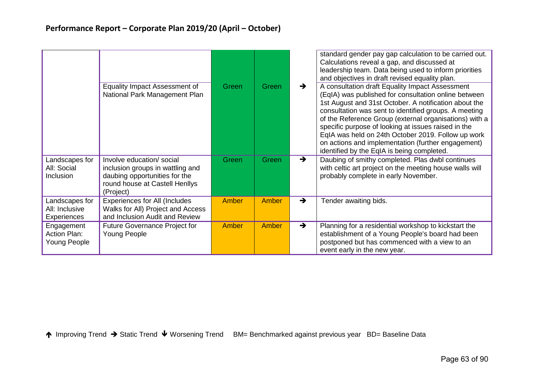|                                                   |                                                                                                                                               |       |              |               | standard gender pay gap calculation to be carried out.<br>Calculations reveal a gap, and discussed at<br>leadership team. Data being used to inform priorities<br>and objectives in draft revised equality plan.                                                                                                                                                                                                                                                                                     |
|---------------------------------------------------|-----------------------------------------------------------------------------------------------------------------------------------------------|-------|--------------|---------------|------------------------------------------------------------------------------------------------------------------------------------------------------------------------------------------------------------------------------------------------------------------------------------------------------------------------------------------------------------------------------------------------------------------------------------------------------------------------------------------------------|
|                                                   | <b>Equality Impact Assessment of</b><br>National Park Management Plan                                                                         | Green | Green        | $\rightarrow$ | A consultation draft Equality Impact Assessment<br>(EqIA) was published for consultation online between<br>1st August and 31st October. A notification about the<br>consultation was sent to identified groups. A meeting<br>of the Reference Group (external organisations) with a<br>specific purpose of looking at issues raised in the<br>EqIA was held on 24th October 2019. Follow up work<br>on actions and implementation (further engagement)<br>identified by the EqIA is being completed. |
| Landscapes for<br>All: Social<br>Inclusion        | Involve education/ social<br>inclusion groups in wattling and<br>daubing opportunities for the<br>round house at Castell Henllys<br>(Project) | Green | Green        | $\rightarrow$ | Daubing of smithy completed. Plas dwbl continues<br>with celtic art project on the meeting house walls will<br>probably complete in early November.                                                                                                                                                                                                                                                                                                                                                  |
| Landscapes for<br>All: Inclusive<br>Experiences   | <b>Experiences for All (Includes</b><br>Walks for All) Project and Access<br>and Inclusion Audit and Review                                   | Amber | <b>Amber</b> | $\rightarrow$ | Tender awaiting bids.                                                                                                                                                                                                                                                                                                                                                                                                                                                                                |
| Engagement<br><b>Action Plan:</b><br>Young People | <b>Future Governance Project for</b><br>Young People                                                                                          | Amber | Amber        | $\rightarrow$ | Planning for a residential workshop to kickstart the<br>establishment of a Young People's board had been<br>postponed but has commenced with a view to an<br>event early in the new year.                                                                                                                                                                                                                                                                                                            |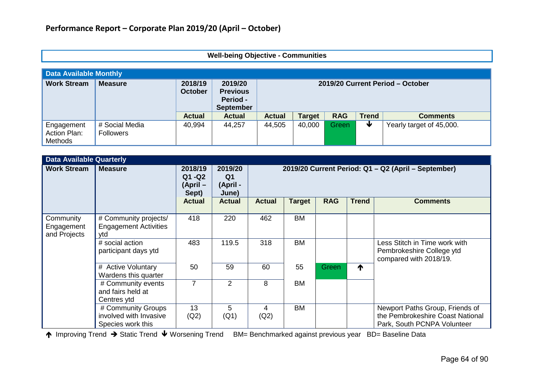# **Well-being Objective - Communities**

| <b>Data Available Monthly</b>                |                                    |                           |                                                                   |                                  |               |            |              |                          |  |  |
|----------------------------------------------|------------------------------------|---------------------------|-------------------------------------------------------------------|----------------------------------|---------------|------------|--------------|--------------------------|--|--|
| <b>Work Stream</b>                           | <b>Measure</b>                     | 2018/19<br><b>October</b> | 2019/20<br><b>Previous</b><br><b>Period -</b><br><b>September</b> | 2019/20 Current Period - October |               |            |              |                          |  |  |
|                                              |                                    | <b>Actual</b>             | <b>Actual</b>                                                     | <b>Actual</b>                    | <b>Target</b> | <b>RAG</b> | <b>Trend</b> | <b>Comments</b>          |  |  |
| Engagement<br>Action Plan:<br><b>Methods</b> | # Social Media<br><b>Followers</b> | 40,994                    | 44,257                                                            | 44,505                           | 40,000        | Green      | ₩            | Yearly target of 45,000. |  |  |

|                                         | <b>Data Available Quarterly</b>                                   |                                          |                                                |                                                     |               |            |              |                                                                                                    |  |  |  |
|-----------------------------------------|-------------------------------------------------------------------|------------------------------------------|------------------------------------------------|-----------------------------------------------------|---------------|------------|--------------|----------------------------------------------------------------------------------------------------|--|--|--|
| <b>Work Stream</b>                      | <b>Measure</b>                                                    | 2018/19<br>$Q1 - Q2$<br>(April-<br>Sept) | 2019/20<br>Q <sub>1</sub><br>(April -<br>June) | 2019/20 Current Period: Q1 - Q2 (April - September) |               |            |              |                                                                                                    |  |  |  |
|                                         |                                                                   | <b>Actual</b>                            | <b>Actual</b>                                  | <b>Actual</b>                                       | <b>Target</b> | <b>RAG</b> | <b>Trend</b> | <b>Comments</b>                                                                                    |  |  |  |
| Community<br>Engagement<br>and Projects | # Community projects/<br><b>Engagement Activities</b><br>ytd      | 418                                      | 220                                            | 462                                                 | <b>BM</b>     |            |              |                                                                                                    |  |  |  |
|                                         | # social action<br>participant days ytd                           | 483                                      | 119.5                                          | 318                                                 | <b>BM</b>     |            |              | Less Stitch in Time work with<br>Pembrokeshire College ytd<br>compared with 2018/19.               |  |  |  |
|                                         | # Active Voluntary<br>Wardens this quarter                        | 50                                       | 59                                             | 60                                                  | 55            | Green      | ↑            |                                                                                                    |  |  |  |
|                                         | # Community events<br>and fairs held at<br>Centres ytd            | $\overline{7}$                           | 2                                              | 8                                                   | <b>BM</b>     |            |              |                                                                                                    |  |  |  |
|                                         | # Community Groups<br>involved with Invasive<br>Species work this | 13<br>(Q2)                               | 5<br>(Q1)                                      | 4<br>(Q2)                                           | <b>BM</b>     |            |              | Newport Paths Group, Friends of<br>the Pembrokeshire Coast National<br>Park, South PCNPA Volunteer |  |  |  |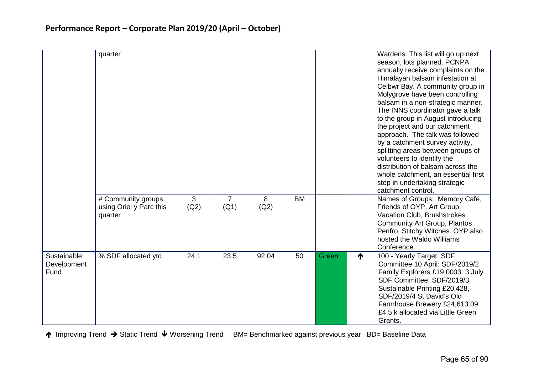|                                    | quarter                                                  |           |                        |           |           |       | Wardens. This list will go up next<br>season, lots planned. PCNPA<br>annually receive complaints on the<br>Himalayan balsam infestation at<br>Ceibwr Bay. A community group in<br>Molygrove have been controlling<br>balsam in a non-strategic manner.<br>The INNS coordinator gave a talk<br>to the group in August introducing<br>the project and our catchment<br>approach. The talk was followed<br>by a catchment survey activity,<br>splitting areas between groups of<br>volunteers to identify the<br>distribution of balsam across the<br>whole catchment, an essential first<br>step in undertaking strategic<br>catchment control. |
|------------------------------------|----------------------------------------------------------|-----------|------------------------|-----------|-----------|-------|-----------------------------------------------------------------------------------------------------------------------------------------------------------------------------------------------------------------------------------------------------------------------------------------------------------------------------------------------------------------------------------------------------------------------------------------------------------------------------------------------------------------------------------------------------------------------------------------------------------------------------------------------|
|                                    | # Community groups<br>using Oriel y Parc this<br>quarter | 3<br>(Q2) | $\overline{7}$<br>(Q1) | 8<br>(Q2) | <b>BM</b> |       | Names of Groups: Memory Café,<br>Friends of OYP, Art Group,<br>Vacation Club, Brushstrokes<br>Community Art Group, Plantos<br>Penfro, Stitchy Witches. OYP also<br>hosted the Waldo Williams<br>Conference.                                                                                                                                                                                                                                                                                                                                                                                                                                   |
| Sustainable<br>Development<br>Fund | % SDF allocated ytd                                      | 24.1      | 23.5                   | 92.04     | 50        | Green | 100 - Yearly Target. SDF<br>↑<br>Committee 10 April: SDF/2019/2<br>Family Explorers £19,0003. 3 July<br>SDF Committee: SDF/2019/3<br>Sustainable Printing £20,428,<br>SDF/2019/4 St David's Old<br>Farmhouse Brewery £24,613.09.<br>£4.5 k allocated via Little Green<br>Grants.                                                                                                                                                                                                                                                                                                                                                              |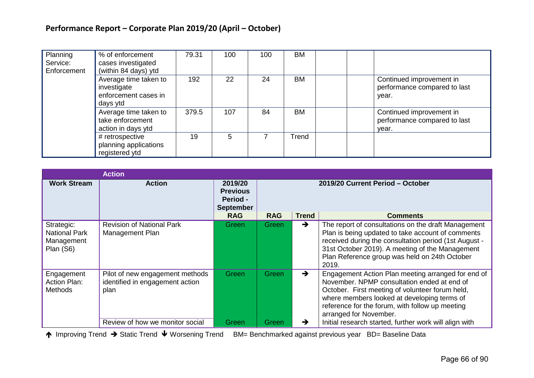| Planning<br>Service:<br>Enforcement | % of enforcement<br>cases investigated<br>(within 84 days) ytd           | 79.31 | 100 | 100 | <b>BM</b> |                                                                   |
|-------------------------------------|--------------------------------------------------------------------------|-------|-----|-----|-----------|-------------------------------------------------------------------|
|                                     | Average time taken to<br>investigate<br>enforcement cases in<br>days ytd | 192   | 22  | 24  | <b>BM</b> | Continued improvement in<br>performance compared to last<br>year. |
|                                     | Average time taken to<br>take enforcement<br>action in days ytd          | 379.5 | 107 | 84  | <b>BM</b> | Continued improvement in<br>performance compared to last<br>vear. |
|                                     | # retrospective<br>planning applications<br>registered ytd               | 19    | 5   |     | Trend     |                                                                   |

|                                                               | <b>Action</b>                                                              |                                                                   |                                  |               |                                                                                                                                                                                                                                                                                  |  |  |
|---------------------------------------------------------------|----------------------------------------------------------------------------|-------------------------------------------------------------------|----------------------------------|---------------|----------------------------------------------------------------------------------------------------------------------------------------------------------------------------------------------------------------------------------------------------------------------------------|--|--|
| <b>Work Stream</b>                                            | <b>Action</b>                                                              | 2019/20<br><b>Previous</b><br><b>Period -</b><br><b>September</b> | 2019/20 Current Period - October |               |                                                                                                                                                                                                                                                                                  |  |  |
|                                                               |                                                                            | <b>RAG</b>                                                        | <b>RAG</b>                       | <b>Trend</b>  | <b>Comments</b>                                                                                                                                                                                                                                                                  |  |  |
| Strategic:<br><b>National Park</b><br>Management<br>Plan (S6) | <b>Revision of National Park</b><br>Management Plan                        | Green                                                             | Green                            | $\rightarrow$ | The report of consultations on the draft Management<br>Plan is being updated to take account of comments<br>received during the consultation period (1st August -<br>31st October 2019). A meeting of the Management<br>Plan Reference group was held on 24th October<br>2019.   |  |  |
| Engagement<br>Action Plan:<br><b>Methods</b>                  | Pilot of new engagement methods<br>identified in engagement action<br>plan | <b>Green</b>                                                      | Green                            | $\rightarrow$ | Engagement Action Plan meeting arranged for end of<br>November. NPMP consultation ended at end of<br>October. First meeting of volunteer forum held,<br>where members looked at developing terms of<br>reference for the forum, with follow up meeting<br>arranged for November. |  |  |
|                                                               | Review of how we monitor social                                            | Green                                                             | Green                            | →             | Initial research started, further work will align with                                                                                                                                                                                                                           |  |  |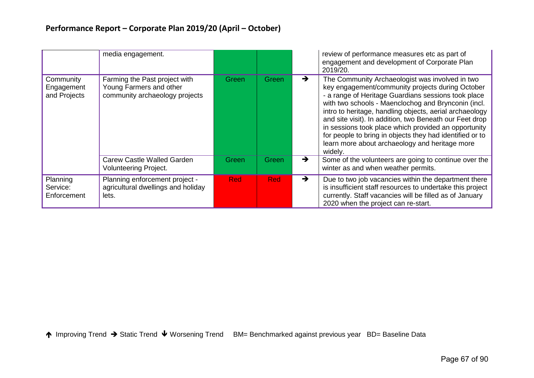|                                         | media engagement.                                                                          |            |       |               | review of performance measures etc as part of<br>engagement and development of Corporate Plan<br>2019/20.                                                                                                                                                                                                                                                                                                                                                                                                                |
|-----------------------------------------|--------------------------------------------------------------------------------------------|------------|-------|---------------|--------------------------------------------------------------------------------------------------------------------------------------------------------------------------------------------------------------------------------------------------------------------------------------------------------------------------------------------------------------------------------------------------------------------------------------------------------------------------------------------------------------------------|
| Community<br>Engagement<br>and Projects | Farming the Past project with<br>Young Farmers and other<br>community archaeology projects | Green      | Green | $\rightarrow$ | The Community Archaeologist was involved in two<br>key engagement/community projects during October<br>- a range of Heritage Guardians sessions took place<br>with two schools - Maenclochog and Brynconin (incl.<br>intro to heritage, handling objects, aerial archaeology<br>and site visit). In addition, two Beneath our Feet drop<br>in sessions took place which provided an opportunity<br>for people to bring in objects they had identified or to<br>learn more about archaeology and heritage more<br>widely. |
|                                         | <b>Carew Castle Walled Garden</b><br><b>Volunteering Project.</b>                          | Green      | Green | $\rightarrow$ | Some of the volunteers are going to continue over the<br>winter as and when weather permits.                                                                                                                                                                                                                                                                                                                                                                                                                             |
| Planning<br>Service:<br>Enforcement     | Planning enforcement project -<br>agricultural dwellings and holiday<br>lets.              | <b>Red</b> | Red   | $\rightarrow$ | Due to two job vacancies within the department there<br>is insufficient staff resources to undertake this project<br>currently. Staff vacancies will be filled as of January<br>2020 when the project can re-start.                                                                                                                                                                                                                                                                                                      |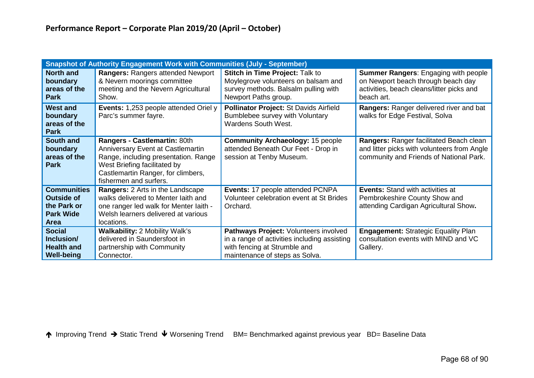|                                                                                           | <b>Snapshot of Authority Engagement Work with Communities (July - September)</b>                                                                                                                          |                                                                                                                                                         |                                                                                                                                              |
|-------------------------------------------------------------------------------------------|-----------------------------------------------------------------------------------------------------------------------------------------------------------------------------------------------------------|---------------------------------------------------------------------------------------------------------------------------------------------------------|----------------------------------------------------------------------------------------------------------------------------------------------|
| <b>North and</b><br>boundary<br>areas of the<br><b>Park</b>                               | Rangers: Rangers attended Newport<br>& Nevern moorings committee<br>meeting and the Nevern Agricultural<br>Show.                                                                                          | <b>Stitch in Time Project: Talk to</b><br>Moylegrove volunteers on balsam and<br>survey methods. Balsalm pulling with<br>Newport Paths group.           | <b>Summer Rangers: Engaging with people</b><br>on Newport beach through beach day<br>activities, beach cleans/litter picks and<br>beach art. |
| <b>West and</b><br>boundary<br>areas of the<br><b>Park</b>                                | <b>Events:</b> 1,253 people attended Oriel y<br>Parc's summer fayre.                                                                                                                                      | Pollinator Project: St Davids Airfield<br>Bumblebee survey with Voluntary<br><b>Wardens South West.</b>                                                 | Rangers: Ranger delivered river and bat<br>walks for Edge Festival, Solva                                                                    |
| <b>South and</b><br>boundary<br>areas of the<br><b>Park</b>                               | Rangers - Castlemartin: 80th<br>Anniversary Event at Castlemartin<br>Range, including presentation. Range<br>West Briefing facilitated by<br>Castlemartin Ranger, for climbers,<br>fishermen and surfers. | <b>Community Archaeology: 15 people</b><br>attended Beneath Our Feet - Drop in<br>session at Tenby Museum.                                              | Rangers: Ranger facilitated Beach clean<br>and litter picks with volunteers from Angle<br>community and Friends of National Park.            |
| <b>Communities</b><br><b>Outside of</b><br>the Park or<br><b>Park Wide</b><br><b>Area</b> | <b>Rangers: 2 Arts in the Landscape</b><br>walks delivered to Menter laith and<br>one ranger led walk for Menter laith -<br>Welsh learners delivered at various<br>locations.                             | Events: 17 people attended PCNPA<br>Volunteer celebration event at St Brides<br>Orchard.                                                                | <b>Events: Stand with activities at</b><br>Pembrokeshire County Show and<br>attending Cardigan Agricultural Show.                            |
| <b>Social</b><br>Inclusion/<br><b>Health and</b><br><b>Well-being</b>                     | <b>Walkability: 2 Mobility Walk's</b><br>delivered in Saundersfoot in<br>partnership with Community<br>Connector.                                                                                         | Pathways Project: Volunteers involved<br>in a range of activities including assisting<br>with fencing at Strumble and<br>maintenance of steps as Solva. | <b>Engagement: Strategic Equality Plan</b><br>consultation events with MIND and VC<br>Gallery.                                               |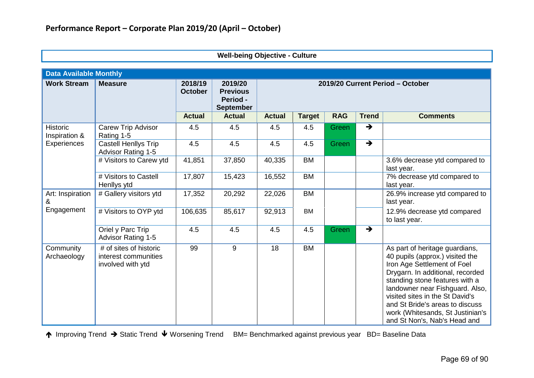|                                  | <b>Data Available Monthly</b>                                       |                           |                                                            |                                  |               |            |               |                                                                                                                                                                                                                                                                                                                                                     |  |
|----------------------------------|---------------------------------------------------------------------|---------------------------|------------------------------------------------------------|----------------------------------|---------------|------------|---------------|-----------------------------------------------------------------------------------------------------------------------------------------------------------------------------------------------------------------------------------------------------------------------------------------------------------------------------------------------------|--|
| <b>Work Stream</b>               | <b>Measure</b>                                                      | 2018/19<br><b>October</b> | 2019/20<br><b>Previous</b><br>Period -<br><b>September</b> | 2019/20 Current Period - October |               |            |               |                                                                                                                                                                                                                                                                                                                                                     |  |
|                                  |                                                                     | <b>Actual</b>             | <b>Actual</b>                                              | <b>Actual</b>                    | <b>Target</b> | <b>RAG</b> | <b>Trend</b>  | <b>Comments</b>                                                                                                                                                                                                                                                                                                                                     |  |
| <b>Historic</b><br>Inspiration & | Carew Trip Advisor<br>Rating 1-5                                    | 4.5                       | 4.5                                                        | 4.5                              | 4.5           | Green      | $\rightarrow$ |                                                                                                                                                                                                                                                                                                                                                     |  |
| <b>Experiences</b>               | Castell Henllys Trip<br><b>Advisor Rating 1-5</b>                   | 4.5                       | 4.5                                                        | 4.5                              | 4.5           | Green      | $\rightarrow$ |                                                                                                                                                                                                                                                                                                                                                     |  |
|                                  | # Visitors to Carew ytd                                             | 41,851                    | 37,850                                                     | 40,335                           | <b>BM</b>     |            |               | 3.6% decrease ytd compared to<br>last year.                                                                                                                                                                                                                                                                                                         |  |
|                                  | # Visitors to Castell<br>Henllys ytd                                | 17,807                    | 15,423                                                     | 16,552                           | <b>BM</b>     |            |               | 7% decrease ytd compared to<br>last year.                                                                                                                                                                                                                                                                                                           |  |
| Art: Inspiration<br>&            | # Gallery visitors ytd                                              | 17,352                    | 20,292                                                     | 22,026                           | <b>BM</b>     |            |               | 26.9% increase ytd compared to<br>last year.                                                                                                                                                                                                                                                                                                        |  |
| Engagement                       | # Visitors to OYP ytd                                               | 106,635                   | 85,617                                                     | 92,913                           | <b>BM</b>     |            |               | 12.9% decrease ytd compared<br>to last year.                                                                                                                                                                                                                                                                                                        |  |
|                                  | Oriel y Parc Trip<br><b>Advisor Rating 1-5</b>                      | 4.5                       | 4.5                                                        | 4.5                              | 4.5           | Green      | $\rightarrow$ |                                                                                                                                                                                                                                                                                                                                                     |  |
| Community<br>Archaeology         | # of sites of historic<br>interest communities<br>involved with ytd | 99                        | 9                                                          | 18                               | <b>BM</b>     |            |               | As part of heritage guardians,<br>40 pupils (approx.) visited the<br>Iron Age Settlement of Foel<br>Drygarn. In additional, recorded<br>standing stone features with a<br>landowner near Fishguard. Also,<br>visited sites in the St David's<br>and St Bride's areas to discuss<br>work (Whitesands, St Justinian's<br>and St Non's, Nab's Head and |  |

**Well-being Objective - Culture**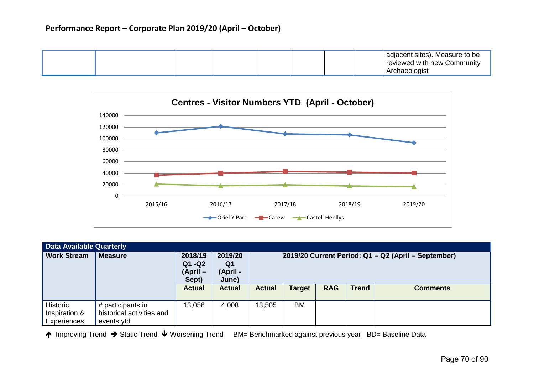## **Performance Report – Corporate Plan 2019/20 (April – October)**

|  |  | adjacent sites). Measure to be<br>reviewed with new L<br>Community<br>าaeoloɑist<br>mι |
|--|--|----------------------------------------------------------------------------------------|
|--|--|----------------------------------------------------------------------------------------|



| <b>Data Available Quarterly</b>          |                                                              |                                          |                                    |                                                     |               |            |              |                 |
|------------------------------------------|--------------------------------------------------------------|------------------------------------------|------------------------------------|-----------------------------------------------------|---------------|------------|--------------|-----------------|
| <b>Work Stream</b>                       | <b>Measure</b>                                               | 2018/19<br>$Q1 - Q2$<br>(April-<br>Sept) | 2019/20<br>Q1<br>(April -<br>June) | 2019/20 Current Period: Q1 - Q2 (April - September) |               |            |              |                 |
|                                          |                                                              | <b>Actual</b>                            | <b>Actual</b>                      | <b>Actual</b>                                       | <b>Target</b> | <b>RAG</b> | <b>Trend</b> | <b>Comments</b> |
| Historic<br>Inspiration &<br>Experiences | # participants in<br>historical activities and<br>events ytd | 13,056                                   | 4,008                              | 13,505                                              | <b>BM</b>     |            |              |                 |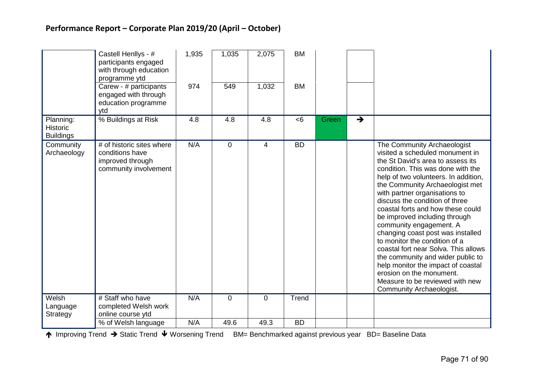|                                     | Castell Henllys - #<br>participants engaged<br>with through education<br>programme ytd<br>Carew - # participants<br>engaged with through<br>education programme | 1,935<br>974 | 1,035<br>549   | 2,075<br>1,032 | <b>BM</b><br><b>BM</b> |       |               |                                                                                                                                                                                                                                                                                                                                                                                                                                                                                                                                                                                                                                                                             |
|-------------------------------------|-----------------------------------------------------------------------------------------------------------------------------------------------------------------|--------------|----------------|----------------|------------------------|-------|---------------|-----------------------------------------------------------------------------------------------------------------------------------------------------------------------------------------------------------------------------------------------------------------------------------------------------------------------------------------------------------------------------------------------------------------------------------------------------------------------------------------------------------------------------------------------------------------------------------------------------------------------------------------------------------------------------|
| Planning:                           | ytd<br>% Buildings at Risk                                                                                                                                      | 4.8          | 4.8            | 4.8            | <6                     | Green | $\rightarrow$ |                                                                                                                                                                                                                                                                                                                                                                                                                                                                                                                                                                                                                                                                             |
| <b>Historic</b><br><b>Buildings</b> |                                                                                                                                                                 |              |                |                |                        |       |               |                                                                                                                                                                                                                                                                                                                                                                                                                                                                                                                                                                                                                                                                             |
| Community<br>Archaeology            | # of historic sites where<br>conditions have<br>improved through<br>community involvement                                                                       | N/A          | $\overline{0}$ | $\overline{4}$ | <b>BD</b>              |       |               | The Community Archaeologist<br>visited a scheduled monument in<br>the St David's area to assess its<br>condition. This was done with the<br>help of two volunteers. In addition,<br>the Community Archaeologist met<br>with partner organisations to<br>discuss the condition of three<br>coastal forts and how these could<br>be improved including through<br>community engagement. A<br>changing coast post was installed<br>to monitor the condition of a<br>coastal fort near Solva. This allows<br>the community and wider public to<br>help monitor the impact of coastal<br>erosion on the monument.<br>Measure to be reviewed with new<br>Community Archaeologist. |
| Welsh                               | # Staff who have                                                                                                                                                | N/A          | $\overline{0}$ | 0              | Trend                  |       |               |                                                                                                                                                                                                                                                                                                                                                                                                                                                                                                                                                                                                                                                                             |
| Language<br>Strategy                | completed Welsh work<br>online course ytd                                                                                                                       |              |                |                |                        |       |               |                                                                                                                                                                                                                                                                                                                                                                                                                                                                                                                                                                                                                                                                             |
|                                     | % of Welsh language                                                                                                                                             | N/A          | 49.6           | 49.3           | <b>BD</b>              |       |               |                                                                                                                                                                                                                                                                                                                                                                                                                                                                                                                                                                                                                                                                             |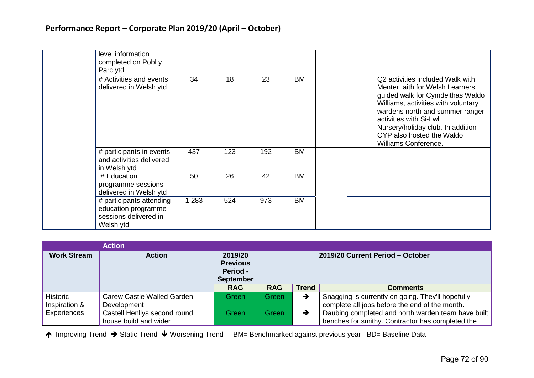| level information<br>completed on Pobl y<br>Parc ytd                                  |       |     |     |           |                                                                                                                                                                                                                                                                                                         |
|---------------------------------------------------------------------------------------|-------|-----|-----|-----------|---------------------------------------------------------------------------------------------------------------------------------------------------------------------------------------------------------------------------------------------------------------------------------------------------------|
| # Activities and events<br>delivered in Welsh ytd                                     | 34    | 18  | 23  | <b>BM</b> | Q2 activities included Walk with<br>Menter laith for Welsh Learners,<br>guided walk for Cymdeithas Waldo<br>Williams, activities with voluntary<br>wardens north and summer ranger<br>activities with Si-Lwli<br>Nursery/holiday club. In addition<br>OYP also hosted the Waldo<br>Williams Conference. |
| # participants in events<br>and activities delivered<br>in Welsh ytd                  | 437   | 123 | 192 | <b>BM</b> |                                                                                                                                                                                                                                                                                                         |
| # Education<br>programme sessions<br>delivered in Welsh ytd                           | 50    | 26  | 42  | <b>BM</b> |                                                                                                                                                                                                                                                                                                         |
| # participants attending<br>education programme<br>sessions delivered in<br>Welsh ytd | 1,283 | 524 | 973 | <b>BM</b> |                                                                                                                                                                                                                                                                                                         |

|                           | <b>Action</b>                                         |                                                            |                                  |               |                                                                                                        |  |
|---------------------------|-------------------------------------------------------|------------------------------------------------------------|----------------------------------|---------------|--------------------------------------------------------------------------------------------------------|--|
| <b>Work Stream</b>        | <b>Action</b>                                         | 2019/20<br><b>Previous</b><br>Period -<br><b>September</b> | 2019/20 Current Period - October |               |                                                                                                        |  |
|                           |                                                       | <b>RAG</b>                                                 | <b>RAG</b>                       | <b>Trend</b>  | <b>Comments</b>                                                                                        |  |
| Historic<br>Inspiration & | Carew Castle Walled Garden<br><b>Development</b>      | Green                                                      | Green                            | $\rightarrow$ | Snagging is currently on going. They'll hopefully<br>complete all jobs before the end of the month.    |  |
| Experiences               | Castell Henllys second round<br>house build and wider | Green                                                      | Green                            | →             | Daubing completed and north warden team have built<br>benches for smithy. Contractor has completed the |  |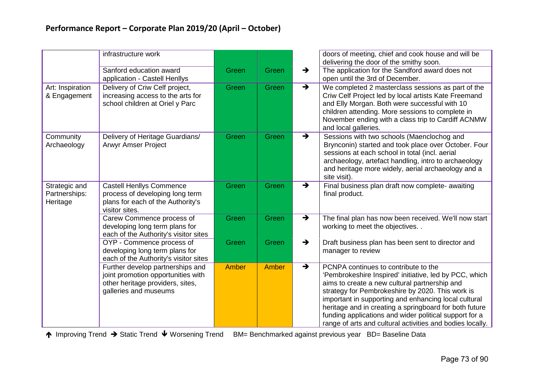|                                            | infrastructure work                                                                                                                 |              |       |                                 | doors of meeting, chief and cook house and will be<br>delivering the door of the smithy soon.                                                                                                                                                                                                                                                                                                                                                |
|--------------------------------------------|-------------------------------------------------------------------------------------------------------------------------------------|--------------|-------|---------------------------------|----------------------------------------------------------------------------------------------------------------------------------------------------------------------------------------------------------------------------------------------------------------------------------------------------------------------------------------------------------------------------------------------------------------------------------------------|
|                                            | Sanford education award<br>application - Castell Henllys                                                                            | Green        | Green | $\rightarrow$                   | The application for the Sandford award does not<br>open until the 3rd of December.                                                                                                                                                                                                                                                                                                                                                           |
| Art: Inspiration<br>& Engagement           | Delivery of Criw Celf project,<br>increasing access to the arts for<br>school children at Oriel y Parc                              | Green        | Green | $\rightarrow$                   | We completed 2 masterclass sessions as part of the<br>Criw Celf Project led by local artists Kate Freemand<br>and Elly Morgan. Both were successful with 10<br>children attending. More sessions to complete in<br>November ending with a class trip to Cardiff ACNMW<br>and local galleries.                                                                                                                                                |
| Community<br>Archaeology                   | Delivery of Heritage Guardians/<br><b>Arwyr Amser Project</b>                                                                       | Green        | Green | $\rightarrow$<br>site visit).   | Sessions with two schools (Maenclochog and<br>Brynconin) started and took place over October. Four<br>sessions at each school in total (incl. aerial<br>archaeology, artefact handling, intro to archaeology<br>and heritage more widely, aerial archaeology and a                                                                                                                                                                           |
| Strategic and<br>Partnerships:<br>Heritage | <b>Castell Henllys Commence</b><br>process of developing long term<br>plans for each of the Authority's<br>visitor sites.           | Green        | Green | $\rightarrow$<br>final product. | Final business plan draft now complete- awaiting                                                                                                                                                                                                                                                                                                                                                                                             |
|                                            | Carew Commence process of<br>developing long term plans for<br>each of the Authority's visitor sites                                | Green        | Green | $\rightarrow$                   | The final plan has now been received. We'll now start<br>working to meet the objectives                                                                                                                                                                                                                                                                                                                                                      |
|                                            | OYP - Commence process of<br>developing long term plans for<br>each of the Authority's visitor sites                                | Green        | Green | $\rightarrow$                   | Draft business plan has been sent to director and<br>manager to review                                                                                                                                                                                                                                                                                                                                                                       |
|                                            | Further develop partnerships and<br>joint promotion opportunities with<br>other heritage providers, sites,<br>galleries and museums | <b>Amber</b> | Amber | $\rightarrow$                   | PCNPA continues to contribute to the<br>'Pembrokeshire Inspired' initiative, led by PCC, which<br>aims to create a new cultural partnership and<br>strategy for Pembrokeshire by 2020. This work is<br>important in supporting and enhancing local cultural<br>heritage and in creating a springboard for both future<br>funding applications and wider political support for a<br>range of arts and cultural activities and bodies locally. |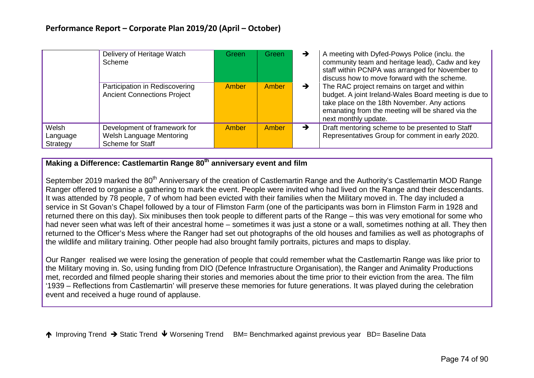|                               | Delivery of Heritage Watch<br>Scheme                                         | Green        | Green | $\rightarrow$ | A meeting with Dyfed-Powys Police (inclu. the<br>community team and heritage lead), Cadw and key<br>staff within PCNPA was arranged for November to<br>discuss how to move forward with the scheme.                                |  |  |
|-------------------------------|------------------------------------------------------------------------------|--------------|-------|---------------|------------------------------------------------------------------------------------------------------------------------------------------------------------------------------------------------------------------------------------|--|--|
|                               | Participation in Rediscovering<br><b>Ancient Connections Project</b>         | <b>Amber</b> | Amber | $\rightarrow$ | The RAC project remains on target and within<br>budget. A joint Ireland-Wales Board meeting is due to<br>take place on the 18th November. Any actions<br>emanating from the meeting will be shared via the<br>next monthly update. |  |  |
| Welsh<br>Language<br>Strategy | Development of framework for<br>Welsh Language Mentoring<br>Scheme for Staff | <b>Amber</b> | Amber | $\rightarrow$ | Draft mentoring scheme to be presented to Staff<br>Representatives Group for comment in early 2020.                                                                                                                                |  |  |

# **Making a Difference: Castlemartin Range 80th anniversary event and film**

September 2019 marked the 80<sup>th</sup> Anniversary of the creation of Castlemartin Range and the Authority's Castlemartin MOD Range Ranger offered to organise a gathering to mark the event. People were invited who had lived on the Range and their descendants. It was attended by 78 people, 7 of whom had been evicted with their families when the Military moved in. The day included a service in St Govan's Chapel followed by a tour of Flimston Farm (one of the participants was born in Flimston Farm in 1928 and returned there on this day). Six minibuses then took people to different parts of the Range – this was very emotional for some who had never seen what was left of their ancestral home – sometimes it was just a stone or a wall, sometimes nothing at all. They then returned to the Officer's Mess where the Ranger had set out photographs of the old houses and families as well as photographs of the wildlife and military training. Other people had also brought family portraits, pictures and maps to display.

Our Ranger realised we were losing the generation of people that could remember what the Castlemartin Range was like prior to the Military moving in. So, using funding from DIO (Defence Infrastructure Organisation), the Ranger and Animality Productions met, recorded and filmed people sharing their stories and memories about the time prior to their eviction from the area. The film '1939 – Reflections from Castlemartin' will preserve these memories for future generations. It was played during the celebration event and received a huge round of applause.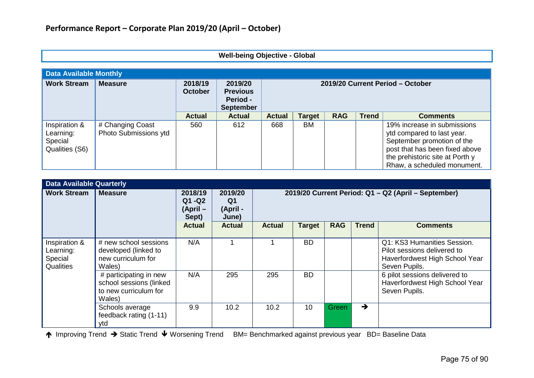|  | Well-being Objective - Global |  |
|--|-------------------------------|--|
|--|-------------------------------|--|

| <b>Data Available Monthly</b>                           |                                           |                           |                                                            |               |                                  |            |              |                                                                                                                                                                                             |  |  |
|---------------------------------------------------------|-------------------------------------------|---------------------------|------------------------------------------------------------|---------------|----------------------------------|------------|--------------|---------------------------------------------------------------------------------------------------------------------------------------------------------------------------------------------|--|--|
| <b>Work Stream</b>                                      | <b>Measure</b>                            | 2018/19<br><b>October</b> | 2019/20<br><b>Previous</b><br>Period -<br><b>September</b> |               | 2019/20 Current Period - October |            |              |                                                                                                                                                                                             |  |  |
|                                                         |                                           | <b>Actual</b>             | <b>Actual</b>                                              | <b>Actual</b> | <b>Target</b>                    | <b>RAG</b> | <b>Trend</b> | <b>Comments</b>                                                                                                                                                                             |  |  |
| Inspiration &<br>Learning:<br>Special<br>Qualities (S6) | # Changing Coast<br>Photo Submissions ytd | 560                       | 612                                                        | 668           | BM                               |            |              | 19% increase in submissions<br>ytd compared to last year.<br>September promotion of the<br>post that has been fixed above<br>the prehistoric site at Porth y<br>Rhaw, a scheduled monument. |  |  |

| <b>Data Available Quarterly</b>                           |                                                                                      |                                         |                                                |                                                     |               |            |               |                                                                                                               |  |  |
|-----------------------------------------------------------|--------------------------------------------------------------------------------------|-----------------------------------------|------------------------------------------------|-----------------------------------------------------|---------------|------------|---------------|---------------------------------------------------------------------------------------------------------------|--|--|
| <b>Work Stream</b>                                        | <b>Measure</b>                                                                       | 2018/19<br>Q1 - Q2<br>(April –<br>Sept) | 2019/20<br>Q <sub>1</sub><br>(April -<br>June) | 2019/20 Current Period: Q1 - Q2 (April - September) |               |            |               |                                                                                                               |  |  |
|                                                           |                                                                                      | <b>Actual</b>                           | <b>Actual</b>                                  | <b>Actual</b>                                       | <b>Target</b> | <b>RAG</b> | <b>Trend</b>  | <b>Comments</b>                                                                                               |  |  |
| Inspiration &<br>Learning:<br>Special<br><b>Qualities</b> | # new school sessions<br>developed (linked to<br>new curriculum for<br>Wales)        | N/A                                     |                                                |                                                     | <b>BD</b>     |            |               | Q1: KS3 Humanities Session.<br>Pilot sessions delivered to<br>Haverfordwest High School Year<br>Seven Pupils. |  |  |
|                                                           | # participating in new<br>school sessions (linked<br>to new curriculum for<br>Wales) | N/A                                     | 295                                            | 295                                                 | <b>BD</b>     |            |               | 6 pilot sessions delivered to<br>Haverfordwest High School Year<br>Seven Pupils.                              |  |  |
|                                                           | Schools average<br>feedback rating (1-11)<br>ytd                                     | 9.9                                     | 10.2                                           | 10.2                                                | 10            | Green      | $\rightarrow$ |                                                                                                               |  |  |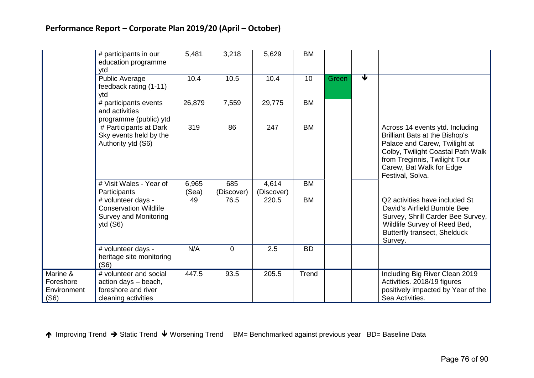|                                              | # participants in our<br>education programme<br>ytd                                          | 5,481          | 3,218             | 5,629               | <b>BM</b> |       |                         |                                                                                                                                                                                                                                 |
|----------------------------------------------|----------------------------------------------------------------------------------------------|----------------|-------------------|---------------------|-----------|-------|-------------------------|---------------------------------------------------------------------------------------------------------------------------------------------------------------------------------------------------------------------------------|
|                                              | Public Average<br>feedback rating (1-11)<br>ytd                                              | 10.4           | 10.5              | 10.4                | 10        | Green | $\overline{\textbf{v}}$ |                                                                                                                                                                                                                                 |
|                                              | # participants events<br>and activities<br>programme (public) ytd                            | 26,879         | 7,559             | 29,775              | <b>BM</b> |       |                         |                                                                                                                                                                                                                                 |
|                                              | # Participants at Dark<br>Sky events held by the<br>Authority ytd (S6)                       | 319            | 86                | 247                 | <b>BM</b> |       |                         | Across 14 events ytd. Including<br><b>Brilliant Bats at the Bishop's</b><br>Palace and Carew, Twilight at<br>Colby, Twilight Coastal Path Walk<br>from Treginnis, Twilight Tour<br>Carew, Bat Walk for Edge<br>Festival, Solva. |
|                                              | # Visit Wales - Year of<br>Participants                                                      | 6,965<br>(Sea) | 685<br>(Discover) | 4,614<br>(Discover) | <b>BM</b> |       |                         |                                                                                                                                                                                                                                 |
|                                              | # volunteer days -<br><b>Conservation Wildlife</b><br>Survey and Monitoring<br>ytd $(S6)$    | 49             | 76.5              | 220.5               | <b>BM</b> |       |                         | Q2 activities have included St<br>David's Airfield Bumble Bee<br>Survey, Shrill Carder Bee Survey,<br>Wildlife Survey of Reed Bed,<br>Butterfly transect, Shelduck<br>Survey.                                                   |
|                                              | # volunteer days -<br>heritage site monitoring<br>(S6)                                       | N/A            | $\overline{0}$    | 2.5                 | <b>BD</b> |       |                         |                                                                                                                                                                                                                                 |
| Marine &<br>Foreshore<br>Environment<br>(S6) | # volunteer and social<br>action days - beach,<br>foreshore and river<br>cleaning activities | 447.5          | 93.5              | 205.5               | Trend     |       |                         | Including Big River Clean 2019<br>Activities. 2018/19 figures<br>positively impacted by Year of the<br>Sea Activities.                                                                                                          |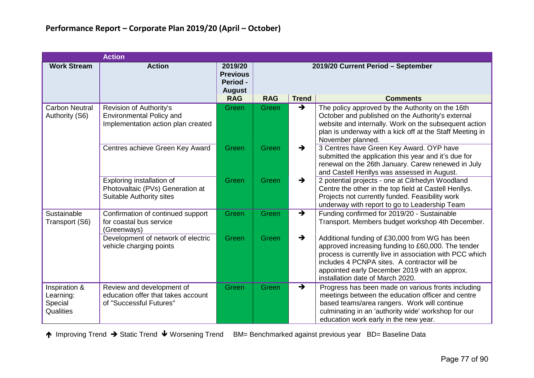|                                                    | <b>Action</b>                                                                                    |                                                         |            |                                    |                                                                                                                                                                                                                                                                                                      |  |  |  |  |  |  |  |
|----------------------------------------------------|--------------------------------------------------------------------------------------------------|---------------------------------------------------------|------------|------------------------------------|------------------------------------------------------------------------------------------------------------------------------------------------------------------------------------------------------------------------------------------------------------------------------------------------------|--|--|--|--|--|--|--|
| <b>Work Stream</b>                                 | <b>Action</b>                                                                                    | 2019/20<br><b>Previous</b><br>Period -<br><b>August</b> |            | 2019/20 Current Period - September |                                                                                                                                                                                                                                                                                                      |  |  |  |  |  |  |  |
|                                                    |                                                                                                  | <b>RAG</b>                                              | <b>RAG</b> | <b>Trend</b>                       | <b>Comments</b>                                                                                                                                                                                                                                                                                      |  |  |  |  |  |  |  |
| <b>Carbon Neutral</b><br>Authority (S6)            | Revision of Authority's<br><b>Environmental Policy and</b><br>Implementation action plan created | Green                                                   | Green      | $\rightarrow$                      | The policy approved by the Authority on the 16th<br>October and published on the Authority's external<br>website and internally. Work on the subsequent action<br>plan is underway with a kick off at the Staff Meeting in<br>November planned.                                                      |  |  |  |  |  |  |  |
|                                                    | Centres achieve Green Key Award                                                                  | Green                                                   | Green      | $\rightarrow$                      | 3 Centres have Green Key Award. OYP have<br>submitted the application this year and it's due for<br>renewal on the 26th January. Carew renewed in July<br>and Castell Henllys was assessed in August.                                                                                                |  |  |  |  |  |  |  |
|                                                    | Exploring installation of<br>Photovaltaic (PVs) Generation at<br><b>Suitable Authority sites</b> | Green                                                   | Green      | $\rightarrow$                      | 2 potential projects - one at Cilrhedyn Woodland<br>Centre the other in the top field at Castell Henllys.<br>Projects not currently funded. Feasibility work<br>underway with report to go to Leadership Team                                                                                        |  |  |  |  |  |  |  |
| Sustainable<br>Transport (S6)                      | Confirmation of continued support<br>for coastal bus service<br>(Greenways)                      | Green                                                   | Green      | $\rightarrow$                      | Funding confirmed for 2019/20 - Sustainable<br>Transport. Members budget workshop 4th December.                                                                                                                                                                                                      |  |  |  |  |  |  |  |
|                                                    | Development of network of electric<br>vehicle charging points                                    | Green                                                   | Green      | $\rightarrow$                      | Additional funding of £30,000 from WG has been<br>approved increasing funding to £60,000. The tender<br>process is currently live in association with PCC which<br>includes 4 PCNPA sites. A contractor will be<br>appointed early December 2019 with an approx.<br>installation date of March 2020. |  |  |  |  |  |  |  |
| Inspiration &<br>Learning:<br>Special<br>Qualities | Review and development of<br>education offer that takes account<br>of "Successful Futures"       | Green                                                   | Green      | $\rightarrow$                      | Progress has been made on various fronts including<br>meetings between the education officer and centre<br>based teams/area rangers. Work will continue<br>culminating in an 'authority wide' workshop for our<br>education work early in the new year.                                              |  |  |  |  |  |  |  |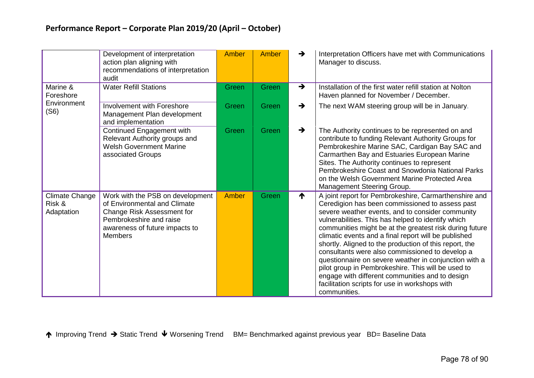|                                               | Development of interpretation<br>action plan aligning with<br>recommendations of interpretation<br>audit                                                                      | Amber | Amber | →             | Interpretation Officers have met with Communications<br>Manager to discuss.                                                                                                                                                                                                                                                                                                                                                                                                                                                                                                                                                                                                            |
|-----------------------------------------------|-------------------------------------------------------------------------------------------------------------------------------------------------------------------------------|-------|-------|---------------|----------------------------------------------------------------------------------------------------------------------------------------------------------------------------------------------------------------------------------------------------------------------------------------------------------------------------------------------------------------------------------------------------------------------------------------------------------------------------------------------------------------------------------------------------------------------------------------------------------------------------------------------------------------------------------------|
| Marine &<br>Foreshore                         | <b>Water Refill Stations</b>                                                                                                                                                  | Green | Green | $\rightarrow$ | Installation of the first water refill station at Nolton<br>Haven planned for November / December.                                                                                                                                                                                                                                                                                                                                                                                                                                                                                                                                                                                     |
| Environment<br>(S6)                           | Involvement with Foreshore<br>Management Plan development<br>and implementation                                                                                               | Green | Green | $\rightarrow$ | The next WAM steering group will be in January.                                                                                                                                                                                                                                                                                                                                                                                                                                                                                                                                                                                                                                        |
|                                               | Continued Engagement with<br>Relevant Authority groups and<br><b>Welsh Government Marine</b><br>associated Groups                                                             | Green | Green | $\rightarrow$ | The Authority continues to be represented on and<br>contribute to funding Relevant Authority Groups for<br>Pembrokeshire Marine SAC, Cardigan Bay SAC and<br>Carmarthen Bay and Estuaries European Marine<br>Sites. The Authority continues to represent<br>Pembrokeshire Coast and Snowdonia National Parks<br>on the Welsh Government Marine Protected Area<br>Management Steering Group.                                                                                                                                                                                                                                                                                            |
| <b>Climate Change</b><br>Risk &<br>Adaptation | Work with the PSB on development<br>of Environmental and Climate<br>Change Risk Assessment for<br>Pembrokeshire and raise<br>awareness of future impacts to<br><b>Members</b> | Amber | Green | ₳             | A joint report for Pembrokeshire, Carmarthenshire and<br>Ceredigion has been commissioned to assess past<br>severe weather events, and to consider community<br>vulnerabilities. This has helped to identify which<br>communities might be at the greatest risk during future<br>climatic events and a final report will be published<br>shortly. Aligned to the production of this report, the<br>consultants were also commissioned to develop a<br>questionnaire on severe weather in conjunction with a<br>pilot group in Pembrokeshire. This will be used to<br>engage with different communities and to design<br>facilitation scripts for use in workshops with<br>communities. |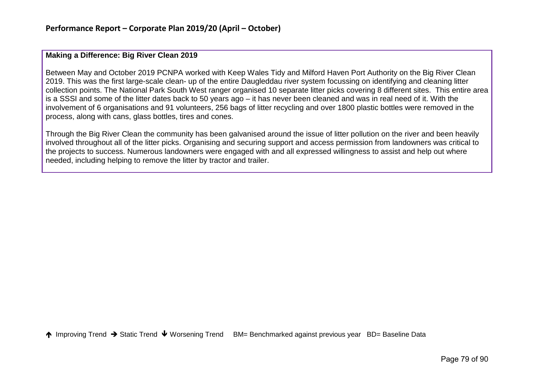#### **Making a Difference: Big River Clean 2019**

Between May and October 2019 PCNPA worked with Keep Wales Tidy and Milford Haven Port Authority on the Big River Clean 2019. This was the first large-scale clean- up of the entire Daugleddau river system focussing on identifying and cleaning litter collection points. The National Park South West ranger organised 10 separate litter picks covering 8 different sites. This entire area is a SSSI and some of the litter dates back to 50 years ago – it has never been cleaned and was in real need of it. With the involvement of 6 organisations and 91 volunteers, 256 bags of litter recycling and over 1800 plastic bottles were removed in the process, along with cans, glass bottles, tires and cones.

Through the Big River Clean the community has been galvanised around the issue of litter pollution on the river and been heavily involved throughout all of the litter picks. Organising and securing support and access permission from landowners was critical to the projects to success. Numerous landowners were engaged with and all expressed willingness to assist and help out where needed, including helping to remove the litter by tractor and trailer.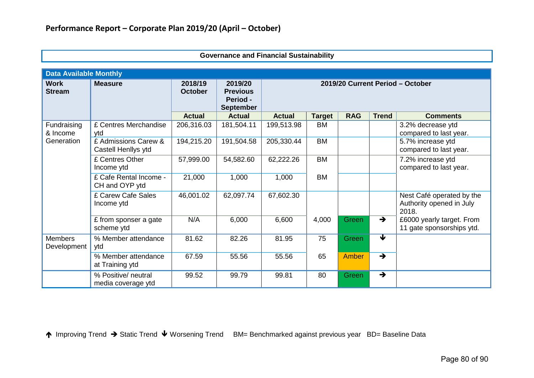| <b>Data Available Monthly</b> |                                             |                           |                                                            |                                  |               |              |                      |                                                                |
|-------------------------------|---------------------------------------------|---------------------------|------------------------------------------------------------|----------------------------------|---------------|--------------|----------------------|----------------------------------------------------------------|
| <b>Work</b><br><b>Stream</b>  | <b>Measure</b>                              | 2018/19<br><b>October</b> | 2019/20<br><b>Previous</b><br>Period -<br><b>September</b> | 2019/20 Current Period - October |               |              |                      |                                                                |
|                               |                                             | <b>Actual</b>             | <b>Actual</b>                                              | <b>Actual</b>                    | <b>Target</b> | <b>RAG</b>   | <b>Trend</b>         | <b>Comments</b>                                                |
| Fundraising<br>& Income       | £ Centres Merchandise<br>ytd                | 206,316.03                | 181,504.11                                                 | 199,513.98                       | <b>BM</b>     |              |                      | 3.2% decrease ytd<br>compared to last year.                    |
| Generation                    | £ Admissions Carew &<br>Castell Henllys ytd | 194,215.20                | 191,504.58                                                 | 205,330.44                       | <b>BM</b>     |              |                      | 5.7% increase ytd<br>compared to last year.                    |
|                               | £ Centres Other<br>Income ytd               | 57,999.00                 | 54,582.60                                                  | 62,222.26                        | <b>BM</b>     |              |                      | 7.2% increase ytd<br>compared to last year.                    |
|                               | £ Cafe Rental Income -<br>CH and OYP ytd    | 21,000                    | 1,000                                                      | 1,000                            | <b>BM</b>     |              |                      |                                                                |
|                               | £ Carew Cafe Sales<br>Income ytd            | 46,001.02                 | 62,097.74                                                  | 67,602.30                        |               |              |                      | Nest Café operated by the<br>Authority opened in July<br>2018. |
|                               | £ from sponser a gate<br>scheme ytd         | N/A                       | 6,000                                                      | 6,600                            | 4,000         | Green        | $\rightarrow$        | £6000 yearly target. From<br>11 gate sponsorships ytd.         |
| <b>Members</b><br>Development | % Member attendance<br>ytd                  | 81.62                     | 82.26                                                      | 81.95                            | 75            | Green        | $\blacktriangledown$ |                                                                |
|                               | % Member attendance<br>at Training ytd      | 67.59                     | 55.56                                                      | 55.56                            | 65            | <b>Amber</b> | $\rightarrow$        |                                                                |
|                               | % Positive/ neutral<br>media coverage ytd   | 99.52                     | 99.79                                                      | 99.81                            | 80            | Green        | $\rightarrow$        |                                                                |

# **Governance and Financial Sustainability**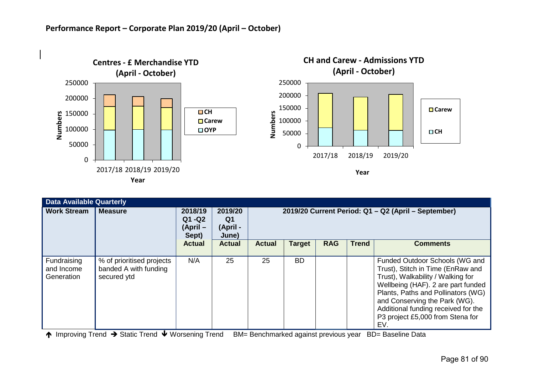

|                                         | <b>Data Available Quarterly</b>                                   |                                          |                                    |                                                     |               |            |              |                                                                                                                                                                                                                                                                                                         |  |  |  |
|-----------------------------------------|-------------------------------------------------------------------|------------------------------------------|------------------------------------|-----------------------------------------------------|---------------|------------|--------------|---------------------------------------------------------------------------------------------------------------------------------------------------------------------------------------------------------------------------------------------------------------------------------------------------------|--|--|--|
| <b>Work Stream</b>                      | <b>Measure</b>                                                    | 2018/19<br>$Q1 - Q2$<br>(April-<br>Sept) | 2019/20<br>Q1<br>(April -<br>June) | 2019/20 Current Period: Q1 - Q2 (April - September) |               |            |              |                                                                                                                                                                                                                                                                                                         |  |  |  |
|                                         |                                                                   | <b>Actual</b>                            | <b>Actual</b>                      | <b>Actual</b>                                       | <b>Target</b> | <b>RAG</b> | <b>Trend</b> | <b>Comments</b>                                                                                                                                                                                                                                                                                         |  |  |  |
| Fundraising<br>and Income<br>Generation | % of prioritised projects<br>banded A with funding<br>secured ytd | N/A                                      | 25                                 | 25                                                  | <b>BD</b>     |            |              | Funded Outdoor Schools (WG and<br>Trust), Stitch in Time (EnRaw and<br>Trust), Walkability / Walking for<br>Wellbeing (HAF). 2 are part funded<br>Plants, Paths and Pollinators (WG)<br>and Conserving the Park (WG).<br>Additional funding received for the<br>P3 project £5,000 from Stena for<br>EV. |  |  |  |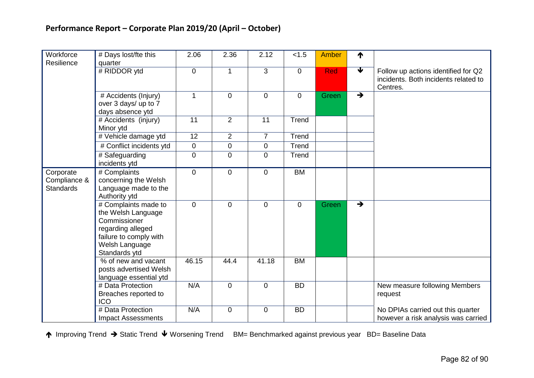| Workforce                                     | # Days lost/fte this                                                                                                                         | 2.06         | 2.36           | 2.12           | < 1.5          | <b>Amber</b> | ↑                    |                                                                                         |
|-----------------------------------------------|----------------------------------------------------------------------------------------------------------------------------------------------|--------------|----------------|----------------|----------------|--------------|----------------------|-----------------------------------------------------------------------------------------|
| Resilience                                    | quarter                                                                                                                                      |              |                |                |                |              | $\blacktriangledown$ |                                                                                         |
|                                               | # RIDDOR ytd                                                                                                                                 | $\mathbf 0$  | 1              | 3              | $\mathbf 0$    | Red          |                      | Follow up actions identified for Q2<br>incidents. Both incidents related to<br>Centres. |
|                                               | # Accidents (Injury)<br>over 3 days/ up to 7<br>days absence ytd                                                                             | $\mathbf{1}$ | $\overline{0}$ | $\mathbf 0$    | $\mathbf 0$    | Green        | $\rightarrow$        |                                                                                         |
|                                               | # Accidents (injury)<br>Minor ytd                                                                                                            | 11           | $\overline{2}$ | 11             | Trend          |              |                      |                                                                                         |
|                                               | # Vehicle damage ytd                                                                                                                         | 12           | $\overline{2}$ | $\overline{7}$ | Trend          |              |                      |                                                                                         |
|                                               | # Conflict incidents ytd                                                                                                                     | $\mathbf 0$  | $\mathbf 0$    | $\mathbf 0$    | Trend          |              |                      |                                                                                         |
|                                               | # Safeguarding<br>incidents ytd                                                                                                              | $\pmb{0}$    | $\mathbf 0$    | $\mathbf 0$    | Trend          |              |                      |                                                                                         |
| Corporate<br>Compliance &<br><b>Standards</b> | # Complaints<br>concerning the Welsh<br>Language made to the<br>Authority ytd                                                                | $\mathbf 0$  | $\overline{0}$ | $\mathbf 0$    | <b>BM</b>      |              |                      |                                                                                         |
|                                               | # Complaints made to<br>the Welsh Language<br>Commissioner<br>regarding alleged<br>failure to comply with<br>Welsh Language<br>Standards ytd | $\mathbf 0$  | $\overline{0}$ | $\mathbf 0$    | $\overline{0}$ | Green        | $\rightarrow$        |                                                                                         |
|                                               | % of new and vacant<br>posts advertised Welsh<br>language essential ytd                                                                      | 46.15        | 44.4           | 41.18          | <b>BM</b>      |              |                      |                                                                                         |
|                                               | # Data Protection<br>Breaches reported to<br><b>ICO</b>                                                                                      | N/A          | $\overline{0}$ | $\mathbf 0$    | <b>BD</b>      |              |                      | New measure following Members<br>request                                                |
|                                               | # Data Protection<br><b>Impact Assessments</b>                                                                                               | N/A          | $\mathbf 0$    | $\mathbf 0$    | <b>BD</b>      |              |                      | No DPIAs carried out this quarter<br>however a risk analysis was carried                |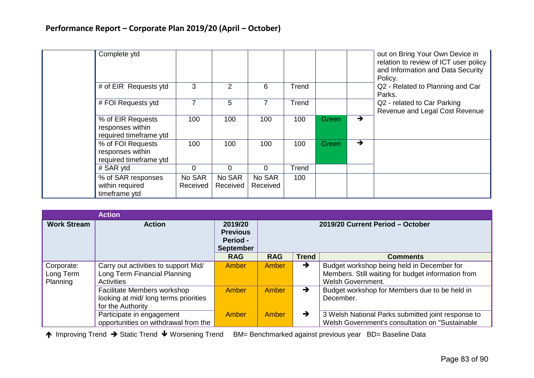| Complete ytd                                                    | 3                  |                    |                    |       |              |               | out on Bring Your Own Device in<br>relation to review of ICT user policy<br>and Information and Data Security<br>Policy. |
|-----------------------------------------------------------------|--------------------|--------------------|--------------------|-------|--------------|---------------|--------------------------------------------------------------------------------------------------------------------------|
| # of EIR Requests ytd                                           |                    | $\overline{2}$     | 6                  | Trend |              |               | Q2 - Related to Planning and Car<br>Parks.                                                                               |
| # FOI Requests ytd                                              | 7                  | 5                  | 7                  | Trend |              |               | Q2 - related to Car Parking<br>Revenue and Legal Cost Revenue                                                            |
| % of EIR Requests<br>responses within<br>required timeframe ytd | 100                | 100                | 100                | 100   | <b>Green</b> | $\rightarrow$ |                                                                                                                          |
| % of FOI Requests<br>responses within<br>required timeframe ytd | 100                | 100                | 100                | 100   | Green        | $\rightarrow$ |                                                                                                                          |
| # SAR ytd                                                       | 0                  | $\mathbf 0$        | $\overline{0}$     | Trend |              |               |                                                                                                                          |
| % of SAR responses<br>within required<br>timeframe ytd          | No SAR<br>Received | No SAR<br>Received | No SAR<br>Received | 100   |              |               |                                                                                                                          |

|                    | <b>Action</b>                         |                                                                   |                                  |               |                                                    |  |  |  |  |
|--------------------|---------------------------------------|-------------------------------------------------------------------|----------------------------------|---------------|----------------------------------------------------|--|--|--|--|
| <b>Work Stream</b> | <b>Action</b>                         | 2019/20<br><b>Previous</b><br><b>Period -</b><br><b>September</b> | 2019/20 Current Period - October |               |                                                    |  |  |  |  |
|                    |                                       | <b>RAG</b>                                                        | <b>RAG</b>                       | <b>Trend</b>  | <b>Comments</b>                                    |  |  |  |  |
| Corporate:         | Carry out activities to support Mid/  | Amber                                                             | Amber                            | $\rightarrow$ | Budget workshop being held in December for         |  |  |  |  |
| Long Term          | Long Term Financial Planning          |                                                                   |                                  |               | Members. Still waiting for budget information from |  |  |  |  |
| Planning           | <b>Activities</b>                     |                                                                   |                                  |               | Welsh Government.                                  |  |  |  |  |
|                    | Facilitate Members workshop           | Amber                                                             | Amber                            | $\rightarrow$ | Budget workshop for Members due to be held in      |  |  |  |  |
|                    | looking at mid/ long terms priorities |                                                                   |                                  |               | December.                                          |  |  |  |  |
|                    | for the Authority                     |                                                                   |                                  |               |                                                    |  |  |  |  |
|                    | Participate in engagement             | Amber                                                             | Amber                            | $\rightarrow$ | 3 Welsh National Parks submitted joint response to |  |  |  |  |
|                    | opportunities on withdrawal from the  |                                                                   |                                  |               | Welsh Government's consultation on "Sustainable"   |  |  |  |  |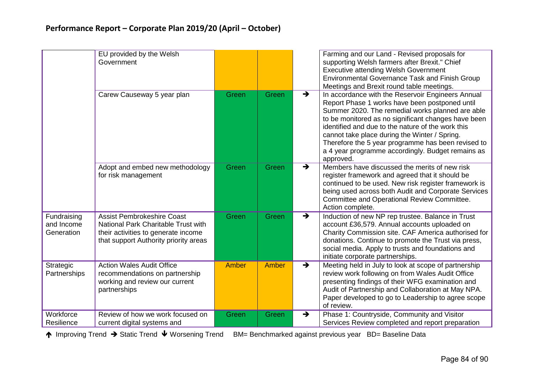|                                         | EU provided by the Welsh<br>Government                                                                                                                   |              |       | Farming and our Land - Revised proposals for<br>supporting Welsh farmers after Brexit." Chief<br><b>Executive attending Welsh Government</b><br><b>Environmental Governance Task and Finish Group</b><br>Meetings and Brexit round table meetings.                                                                                                                                                                                                            |
|-----------------------------------------|----------------------------------------------------------------------------------------------------------------------------------------------------------|--------------|-------|---------------------------------------------------------------------------------------------------------------------------------------------------------------------------------------------------------------------------------------------------------------------------------------------------------------------------------------------------------------------------------------------------------------------------------------------------------------|
|                                         | Carew Causeway 5 year plan                                                                                                                               | Green        | Green | In accordance with the Reservoir Engineers Annual<br>$\rightarrow$<br>Report Phase 1 works have been postponed until<br>Summer 2020. The remedial works planned are able<br>to be monitored as no significant changes have been<br>identified and due to the nature of the work this<br>cannot take place during the Winter / Spring.<br>Therefore the 5 year programme has been revised to<br>a 4 year programme accordingly. Budget remains as<br>approved. |
|                                         | Adopt and embed new methodology<br>for risk management                                                                                                   | Green        | Green | Members have discussed the merits of new risk<br>$\rightarrow$<br>register framework and agreed that it should be<br>continued to be used. New risk register framework is<br>being used across both Audit and Corporate Services<br>Committee and Operational Review Committee.<br>Action complete.                                                                                                                                                           |
| Fundraising<br>and Income<br>Generation | <b>Assist Pembrokeshire Coast</b><br>National Park Charitable Trust with<br>their activities to generate income<br>that support Authority priority areas | Green        | Green | $\rightarrow$<br>Induction of new NP rep trustee. Balance in Trust<br>account £36,579. Annual accounts uploaded on<br>Charity Commission site. CAF America authorised for<br>donations. Continue to promote the Trust via press,<br>social media. Apply to trusts and foundations and<br>initiate corporate partnerships.                                                                                                                                     |
| Strategic<br>Partnerships               | <b>Action Wales Audit Office</b><br>recommendations on partnership<br>working and review our current<br>partnerships                                     | <b>Amber</b> | Amber | $\rightarrow$<br>Meeting held in July to look at scope of partnership<br>review work following on from Wales Audit Office<br>presenting findings of their WFG examination and<br>Audit of Partnership and Collaboration at May NPA.<br>Paper developed to go to Leadership to agree scope<br>of review.                                                                                                                                                       |
| Workforce<br>Resilience                 | Review of how we work focused on<br>current digital systems and                                                                                          | Green        | Green | Phase 1: Countryside, Community and Visitor<br>$\rightarrow$<br>Services Review completed and report preparation                                                                                                                                                                                                                                                                                                                                              |